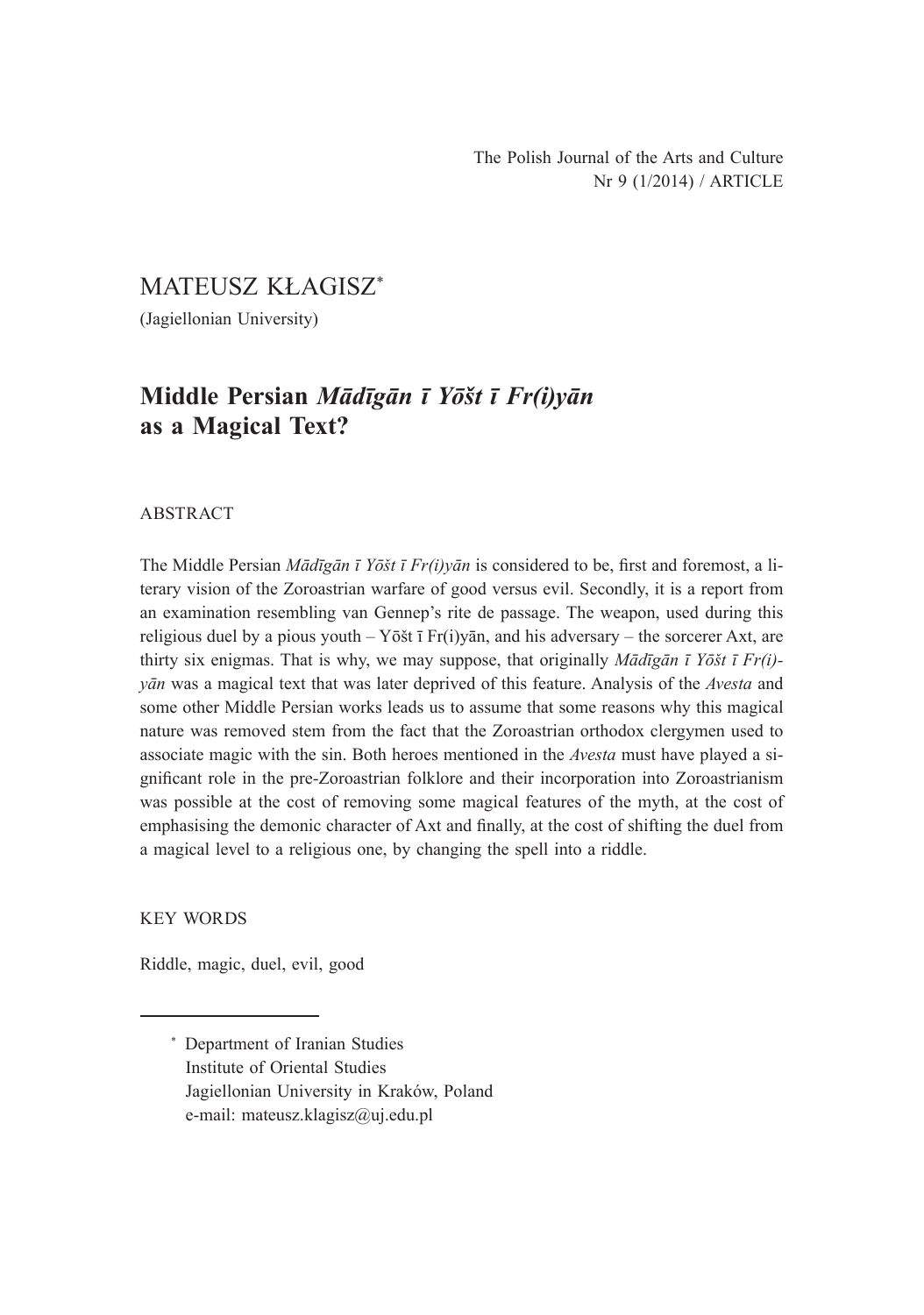# MATEUSZ KŁAGISZ\*

(Jagiellonian University)

# **Middle Persian** *Mādīgān ī Yōšt ī Fr(i)yān* **as a Magical Text?**

## ABSTRACT

The Middle Persian *Mādīgān ī Yōšt ī Fr(i)yān* is considered to be, first and foremost, a literary vision of the Zoroastrian warfare of good versus evil. Secondly, it is a report from an examination resembling van Gennep's rite de passage. The weapon, used during this religious duel by a pious youth  $-\overline{Y}$  org $\overline{Y}$   $\overline{Y}$   $\overline{Y}$   $\overline{Y}$  and his adversary – the sorcerer Axt, are thirty six enigmas. That is why, we may suppose, that originally *Mādīgān ī Yōšt ī Fr(i) yān* was a magical text that was later deprived of this feature. Analysis of the *Avesta* and some other Middle Persian works leads us to assume that some reasons why this magical nature was removed stem from the fact that the Zoroastrian orthodox clergymen used to associate magic with the sin. Both heroes mentioned in the *Avesta* must have played a significant role in the pre-Zoroastrian folklore and their incorporation into Zoroastrianism was possible at the cost of removing some magical features of the myth, at the cost of emphasising the demonic character of Axt and finally, at the cost of shifting the duel from a magical level to a religious one, by changing the spell into a riddle.

KEY WORDS

Riddle, magic, duel, evil, good

<sup>\*</sup> Department of Iranian Studies Institute of Oriental Studies Jagiellonian University in Kraków, Poland e-mail: mateusz.klagisz@uj.edu.pl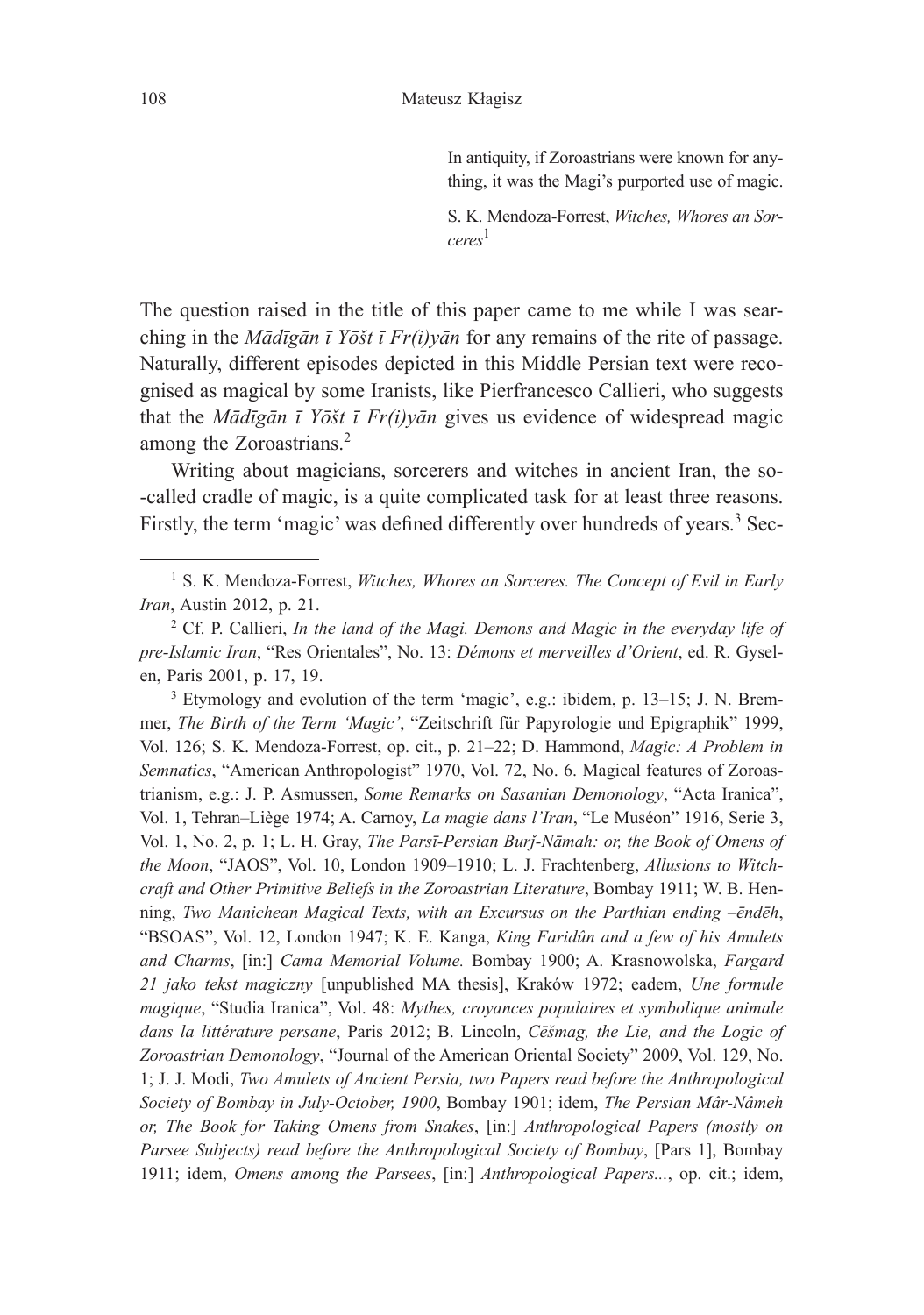In antiquity, if Zoroastrians were known for anything, it was the Magi's purported use of magic.

S. K. Mendoza-Forrest, *Witches, Whores an Sorceres*<sup>1</sup>

The question raised in the title of this paper came to me while I was searching in the *Mādīgān ī Yōšt ī Fr(i)yān* for any remains of the rite of passage. Naturally, different episodes depicted in this Middle Persian text were recognised as magical by some Iranists, like Pierfrancesco Callieri, who suggests that the *Mādīgān ī Yōšt ī Fr(i)yān* gives us evidence of widespread magic among the Zoroastrians.<sup>2</sup>

Writing about magicians, sorcerers and witches in ancient Iran, the so- -called cradle of magic, is a quite complicated task for at least three reasons. Firstly, the term 'magic' was defined differently over hundreds of years.<sup>3</sup> Sec-

<sup>3</sup> Etymology and evolution of the term 'magic', e.g.: ibidem, p. 13–15; J. N. Bremmer, *The Birth of the Term 'Magic'*, "Zeitschrift für Papyrologie und Epigraphik" 1999, Vol. 126; S. K. Mendoza-Forrest, op. cit., p. 21–22; D. Hammond, *Magic: A Problem in Semnatics*, "American Anthropologist" 1970, Vol. 72, No. 6. Magical features of Zoroastrianism, e.g.: J. P. Asmussen, *Some Remarks on Sasanian Demonology*, "Acta Iranica", Vol. 1, Tehran–Liège 1974; A. Carnoy, *La magie dans l'Iran*, "Le Muséon" 1916, Serie 3, Vol. 1, No. 2, p. 1; L. H. Gray, *The Parsī-Persian Burǰ-Nāmah: or, the Book of Omens of the Moon*, "JAOS", Vol. 10, London 1909–1910; L. J. Frachtenberg, *Allusions to Witchcraft and Other Primitive Beliefs in the Zoroastrian Literature*, Bombay 1911; W. B. Henning, *Two Manichean Magical Texts, with an Excursus on the Parthian ending –ēndēh*, "BSOAS", Vol. 12, London 1947; K. E. Kanga, *King Faridûn and a few of his Amulets and Charms*, [in:] *Cama Memorial Volume.* Bombay 1900; A. Krasnowolska, *Fargard 21 jako tekst magiczny* [unpublished MA thesis], Kraków 1972; eadem, *Une formule magique*, "Studia Iranica", Vol. 48: *Mythes, croyances populaires et symbolique animale dans la littérature persane*, Paris 2012; B. Lincoln, *Cēšmag, the Lie, and the Logic of Zoroastrian Demonology*, "Journal of the American Oriental Society" 2009, Vol. 129, No. 1; J. J. Modi, *Two Amulets of Ancient Persia, two Papers read before the Anthropological Society of Bombay in July-October, 1900*, Bombay 1901; idem, *The Persian Mâr-Nâmeh or, The Book for Taking Omens from Snakes*, [in:] *Anthropological Papers (mostly on Parsee Subjects) read before the Anthropological Society of Bombay*, [Pars 1], Bombay 1911; idem, *Omens among the Parsees*, [in:] *Anthropological Papers...*, op. cit.; idem,

<sup>&</sup>lt;sup>1</sup> S. K. Mendoza-Forrest, *Witches, Whores an Sorceres. The Concept of Evil in Early Iran*, Austin 2012, p. 21.

<sup>2</sup> Cf. P. Callieri, *In the land of the Magi. Demons and Magic in the everyday life of pre-Islamic Iran*, "Res Orientales", No. 13: *Démons et merveilles d'Orient*, ed. R. Gyselen, Paris 2001, p. 17, 19.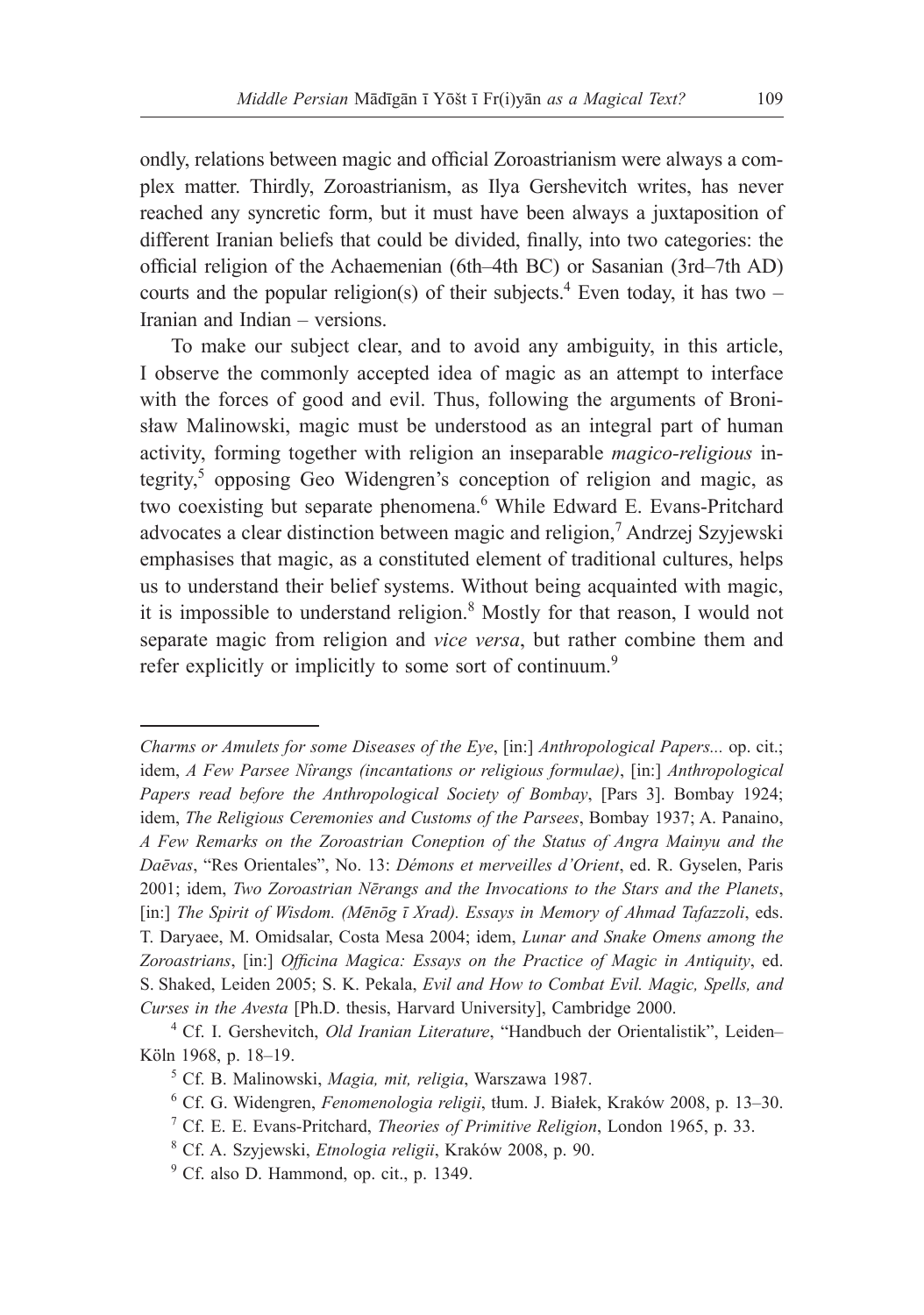ondly, relations between magic and official Zoroastrianism were always a complex matter. Thirdly, Zoroastrianism, as Ilya Gershevitch writes, has never reached any syncretic form, but it must have been always a juxtaposition of different Iranian beliefs that could be divided, finally, into two categories: the official religion of the Achaemenian (6th–4th BC) or Sasanian (3rd–7th AD) courts and the popular religion(s) of their subjects.<sup>4</sup> Even today, it has two  $-$ Iranian and Indian – versions.

To make our subject clear, and to avoid any ambiguity, in this article, I observe the commonly accepted idea of magic as an attempt to interface with the forces of good and evil. Thus, following the arguments of Bronisław Malinowski, magic must be understood as an integral part of human activity, forming together with religion an inseparable *magico-religious* integrity,<sup>5</sup> opposing Geo Widengren's conception of religion and magic, as two coexisting but separate phenomena.<sup>6</sup> While Edward E. Evans-Pritchard advocates a clear distinction between magic and religion,<sup>7</sup> Andrzej Szyjewski emphasises that magic, as a constituted element of traditional cultures, helps us to understand their belief systems. Without being acquainted with magic, it is impossible to understand religion.<sup>8</sup> Mostly for that reason, I would not separate magic from religion and *vice versa*, but rather combine them and refer explicitly or implicitly to some sort of continuum.<sup>9</sup>

*Charms or Amulets for some Diseases of the Eye*, [in:] *Anthropological Papers...* op. cit.; idem, *A Few Parsee Nîrangs (incantations or religious formulae)*, [in:] *Anthropological Papers read before the Anthropological Society of Bombay*, [Pars 3]. Bombay 1924; idem, *The Religious Ceremonies and Customs of the Parsees*, Bombay 1937; A. Panaino, *A Few Remarks on the Zoroastrian Coneption of the Status of Angra Mainyu and the Daēvas*, "Res Orientales", No. 13: *Démons et merveilles d'Orient*, ed. R. Gyselen, Paris 2001; idem, *Two Zoroastrian Nērangs and the Invocations to the Stars and the Planets*, [in:] *The Spirit of Wisdom. (Mēnōg ī Xrad). Essays in Memory of Ahmad Tafazzoli*, eds. T. Daryaee, M. Omidsalar, Costa Mesa 2004; idem, *Lunar and Snake Omens among the Zoroastrians*, [in:] *Officina Magica: Essays on the Practice of Magic in Antiquity*, ed. S. Shaked, Leiden 2005; S. K. Pekala, *Evil and How to Combat Evil. Magic, Spells, and Curses in the Avesta* [Ph.D. thesis, Harvard University], Cambridge 2000.

<sup>4</sup> Cf. I. Gershevitch, *Old Iranian Literature*, "Handbuch der Orientalistik", Leiden– Köln 1968, p. 18–19.

<sup>5</sup> Cf. B. Malinowski, *Magia, mit, religia*, Warszawa 1987.

<sup>6</sup> Cf. G. Widengren, *Fenomenologia religii*, tłum. J. Białek, Kraków 2008, p. 13–30.

<sup>7</sup> Cf. E. E. Evans-Pritchard, *Theories of Primitive Religion*, London 1965, p. 33.

<sup>8</sup> Cf. A. Szyjewski, *Etnologia religii*, Kraków 2008, p. 90.

<sup>9</sup> Cf. also D. Hammond, op. cit., p. 1349.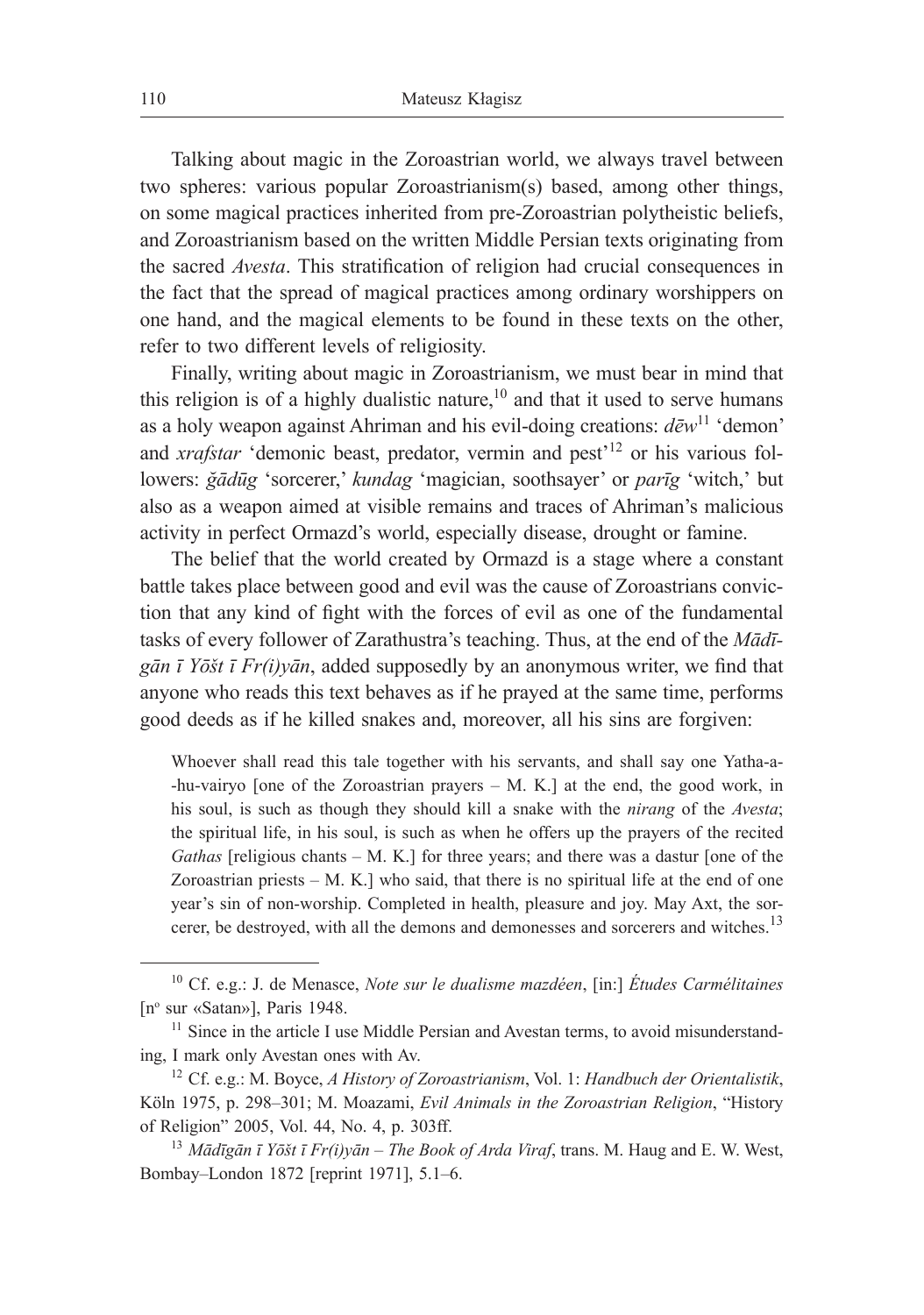Talking about magic in the Zoroastrian world, we always travel between two spheres: various popular Zoroastrianism(s) based, among other things, on some magical practices inherited from pre-Zoroastrian polytheistic beliefs, and Zoroastrianism based on the written Middle Persian texts originating from the sacred *Avesta*. This stratification of religion had crucial consequences in the fact that the spread of magical practices among ordinary worshippers on one hand, and the magical elements to be found in these texts on the other, refer to two different levels of religiosity.

Finally, writing about magic in Zoroastrianism, we must bear in mind that this religion is of a highly dualistic nature, $10$  and that it used to serve humans as a holy weapon against Ahriman and his evil-doing creations: *dēw*<sup>11</sup> 'demon' and *xrafstar* 'demonic beast, predator, vermin and pest<sup>'12</sup> or his various followers: *ğādūg* 'sorcerer,' *kundag* 'magician, soothsayer' or *parīg* 'witch,' but also as a weapon aimed at visible remains and traces of Ahriman's malicious activity in perfect Ormazd's world, especially disease, drought or famine.

The belief that the world created by Ormazd is a stage where a constant battle takes place between good and evil was the cause of Zoroastrians conviction that any kind of fight with the forces of evil as one of the fundamental tasks of every follower of Zarathustra's teaching. Thus, at the end of the *Mādīgān ī Yōšt ī Fr(i)yān*, added supposedly by an anonymous writer, we find that anyone who reads this text behaves as if he prayed at the same time, performs good deeds as if he killed snakes and, moreover, all his sins are forgiven:

Whoever shall read this tale together with his servants, and shall say one Yatha-a- -hu-vairyo [one of the Zoroastrian prayers – M. K.] at the end, the good work, in his soul, is such as though they should kill a snake with the *nirang* of the *Avesta*; the spiritual life, in his soul, is such as when he offers up the prayers of the recited *Gathas* [religious chants – M. K.] for three years; and there was a dastur [one of the Zoroastrian priests  $-$  M. K.] who said, that there is no spiritual life at the end of one year's sin of non-worship. Completed in health, pleasure and joy. May Axt, the sorcerer, be destroyed, with all the demons and demonesses and sorcerers and witches.<sup>13</sup>

<sup>10</sup> Cf. e.g.: J. de Menasce, *Note sur le dualisme mazdéen*, [in:] *Études Carmélitaines* [n<sup>o</sup> sur «Satan»], Paris 1948.

<sup>&</sup>lt;sup>11</sup> Since in the article I use Middle Persian and Avestan terms, to avoid misunderstanding, I mark only Avestan ones with Av.

<sup>12</sup> Cf. e.g.: M. Boyce, *A History of Zoroastrianism*, Vol. 1: *Handbuch der Orientalistik*, Köln 1975, p. 298–301; M. Moazami, *Evil Animals in the Zoroastrian Religion*, "History of Religion" 2005, Vol. 44, No. 4, p. 303ff.

<sup>13</sup> *Mādīgān ī Yōšt ī Fr(i)yān – The Book of Arda Viraf*, trans. M. Haug and E. W. West, Bombay–London 1872 [reprint 1971], 5.1*–*6.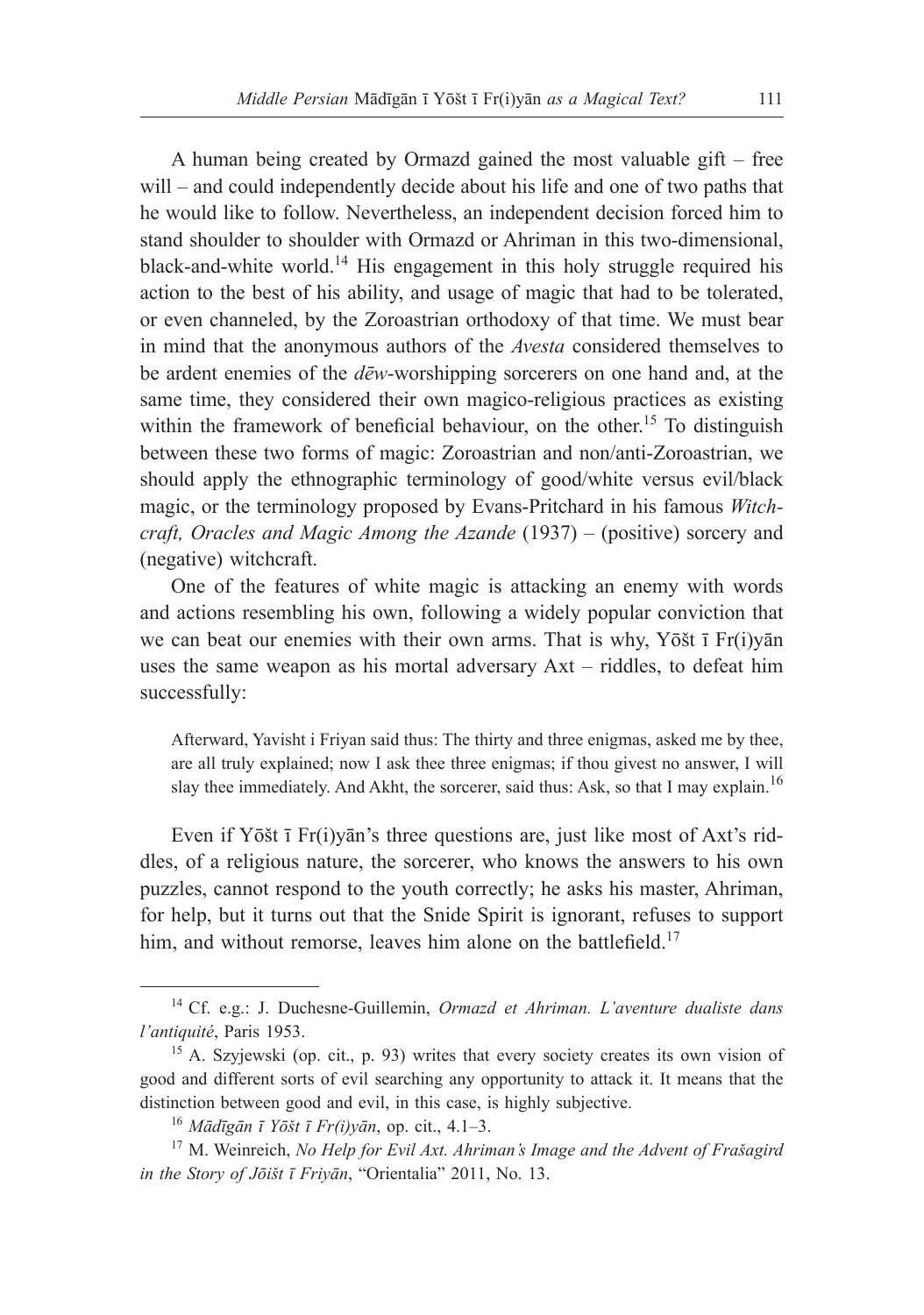A human being created by Ormazd gained the most valuable gift – free will – and could independently decide about his life and one of two paths that he would like to follow. Nevertheless, an independent decision forced him to stand shoulder to shoulder with Ormazd or Ahriman in this two-dimensional, black-and-white world.<sup>14</sup> His engagement in this holy struggle required his action to the best of his ability, and usage of magic that had to be tolerated, or even channeled, by the Zoroastrian orthodoxy of that time. We must bear in mind that the anonymous authors of the *Avesta* considered themselves to be ardent enemies of the *dēw*-worshipping sorcerers on one hand and, at the same time, they considered their own magico-religious practices as existing within the framework of beneficial behaviour, on the other.<sup>15</sup> To distinguish between these two forms of magic: Zoroastrian and non/anti-Zoroastrian, we should apply the ethnographic terminology of good/white versus evil/black magic, or the terminology proposed by Evans-Pritchard in his famous *Witchcraft, Oracles and Magic Among the Azande* (1937) – (positive) sorcery and (negative) witchcraft.

One of the features of white magic is attacking an enemy with words and actions resembling his own, following a widely popular conviction that we can beat our enemies with their own arms. That is why, Yōšt ī Fr(i)yān uses the same weapon as his mortal adversary Axt – riddles, to defeat him successfully:

Afterward, Yavisht i Friyan said thus: The thirty and three enigmas, asked me by thee, are all truly explained; now I ask thee three enigmas; if thou givest no answer, I will slay thee immediately. And Akht, the sorcerer, said thus: Ask, so that I may explain.<sup>16</sup>

Even if Yōšt ī Fr(i)yān's three questions are, just like most of Axt's riddles, of a religious nature, the sorcerer, who knows the answers to his own puzzles, cannot respond to the youth correctly; he asks his master, Ahriman, for help, but it turns out that the Snide Spirit is ignorant, refuses to support him, and without remorse, leaves him alone on the battlefield.<sup>17</sup>

<sup>14</sup> Cf. e.g.: J. Duchesne-Guillemin, *Ormazd et Ahriman. L'aventure dualiste dans l'antiquité*, Paris 1953.

<sup>15</sup> A. Szyjewski (op. cit., p. 93) writes that every society creates its own vision of good and different sorts of evil searching any opportunity to attack it. It means that the distinction between good and evil, in this case, is highly subjective.

<sup>16</sup> *Mādīgān ī Yōšt ī Fr(i)yān*, op. cit., 4.1*–*3.

<sup>17</sup> M. Weinreich, *No Help for Evil Axt. Ahriman's Image and the Advent of Frašagird in the Story of Jōišt ī Friyān*, "Orientalia" 2011, No. 13.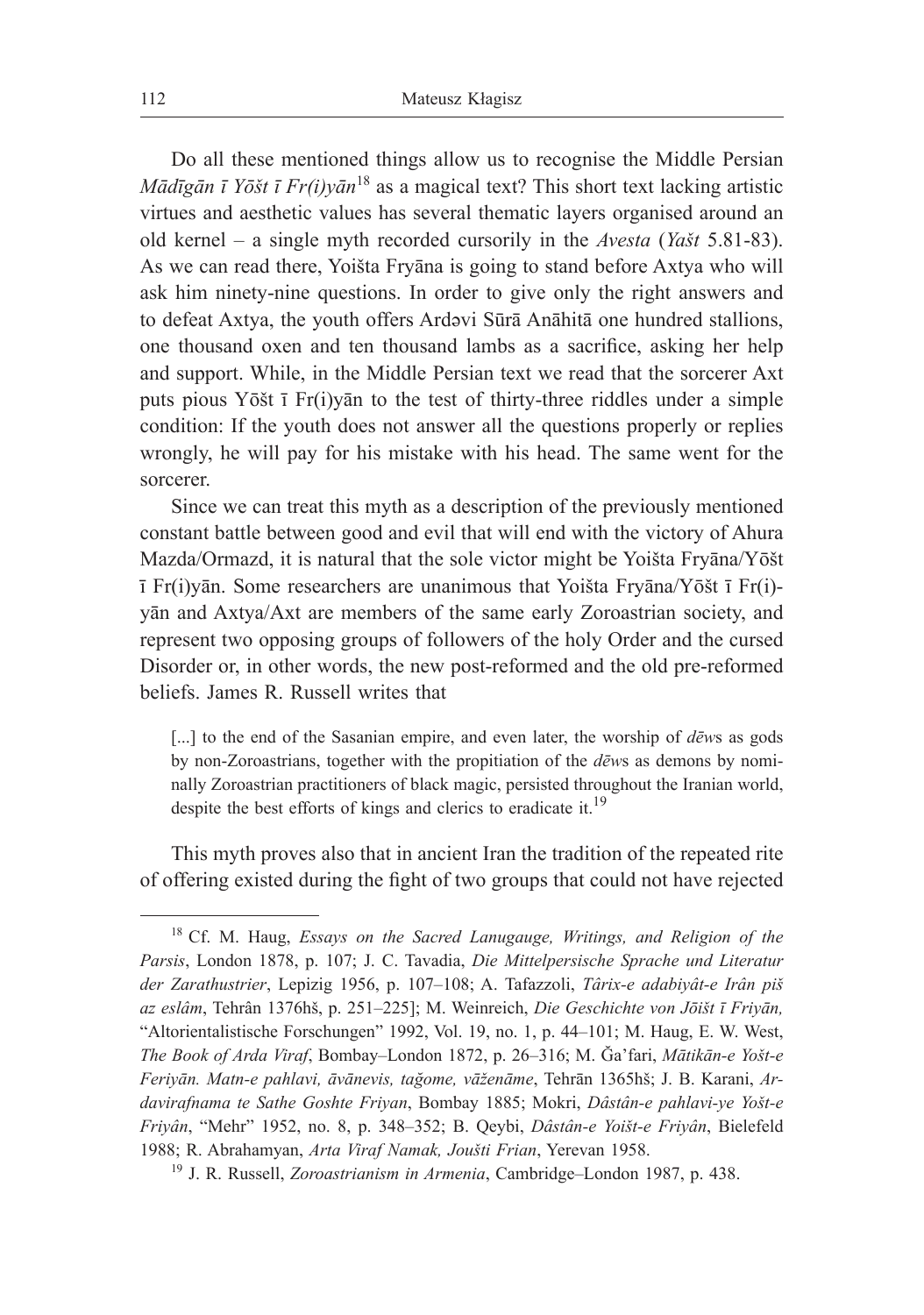Do all these mentioned things allow us to recognise the Middle Persian *Mādīgān ī Yōšt ī Fr(i)yān*<sup>18</sup> as a magical text? This short text lacking artistic virtues and aesthetic values has several thematic layers organised around an old kernel – a single myth recorded cursorily in the *Avesta* (*Yašt* 5.81-83). As we can read there, Yoišta Fryāna is going to stand before Axtya who will ask him ninety-nine questions. In order to give only the right answers and to defeat Axtya, the youth offers Ardəvi Sūrā Anāhitā one hundred stallions, one thousand oxen and ten thousand lambs as a sacrifice, asking her help and support. While, in the Middle Persian text we read that the sorcerer Axt puts pious Yōšt ī Fr(i)yān to the test of thirty-three riddles under a simple condition: If the youth does not answer all the questions properly or replies wrongly, he will pay for his mistake with his head. The same went for the sorcerer.

Since we can treat this myth as a description of the previously mentioned constant battle between good and evil that will end with the victory of Ahura Mazda/Ormazd, it is natural that the sole victor might be Yoišta Fryāna/Yōšt ī Fr(i)yān. Some researchers are unanimous that Yoišta Fryāna/Yōšt ī Fr(i) yān and Axtya/Axt are members of the same early Zoroastrian society, and represent two opposing groups of followers of the holy Order and the cursed Disorder or, in other words, the new post-reformed and the old pre-reformed beliefs. James R. Russell writes that

[...] to the end of the Sasanian empire, and even later, the worship of *d*ews as gods by non-Zoroastrians, together with the propitiation of the *dēw*s as demons by nominally Zoroastrian practitioners of black magic, persisted throughout the Iranian world, despite the best efforts of kings and clerics to eradicate it.<sup>19</sup>

This myth proves also that in ancient Iran the tradition of the repeated rite of offering existed during the fight of two groups that could not have rejected

<sup>18</sup> Cf. M. Haug, *Essays on the Sacred Lanugauge, Writings, and Religion of the Parsis*, London 1878, p. 107; J. C. Tavadia, *Die Mittelpersische Sprache und Literatur der Zarathustrier*, Lepizig 1956, p. 107–108; A. Tafazzoli, *Târix-e adabiyât-e Irân piš az eslâm*, Tehrân 1376hš, p. 251‒225]; M. Weinreich, *Die Geschichte von Jōišt ī Friyān,*  "Altorientalistische Forschungen" 1992, Vol. 19, no. 1, p. 44–101; M. Haug, E. W. West, *The Book of Arda Viraf*, Bombay‒London 1872, p. 26‒316; M. Ğa'fari, *Mātikān-e Yošt-e Feriyān. Matn-e pahlavi, āvānevis, tağome, vāženāme*, Tehrān 1365hš; J. B. Karani, *Ardavirafnama te Sathe Goshte Friyan*, Bombay 1885; Mokri, *Dâstân-e pahlavi-ye Yošt-e Friyân*, "Mehr" 1952, no. 8, p. 348‒352; B. Qeybi, *Dâstân-e Yoišt-e Friyân*, Bielefeld 1988; R. Abrahamyan, *Arta Viraf Namak, Joušti Frian*, Yerevan 1958.

<sup>19</sup> J. R. Russell, *Zoroastrianism in Armenia*, Cambridge–London 1987, p. 438.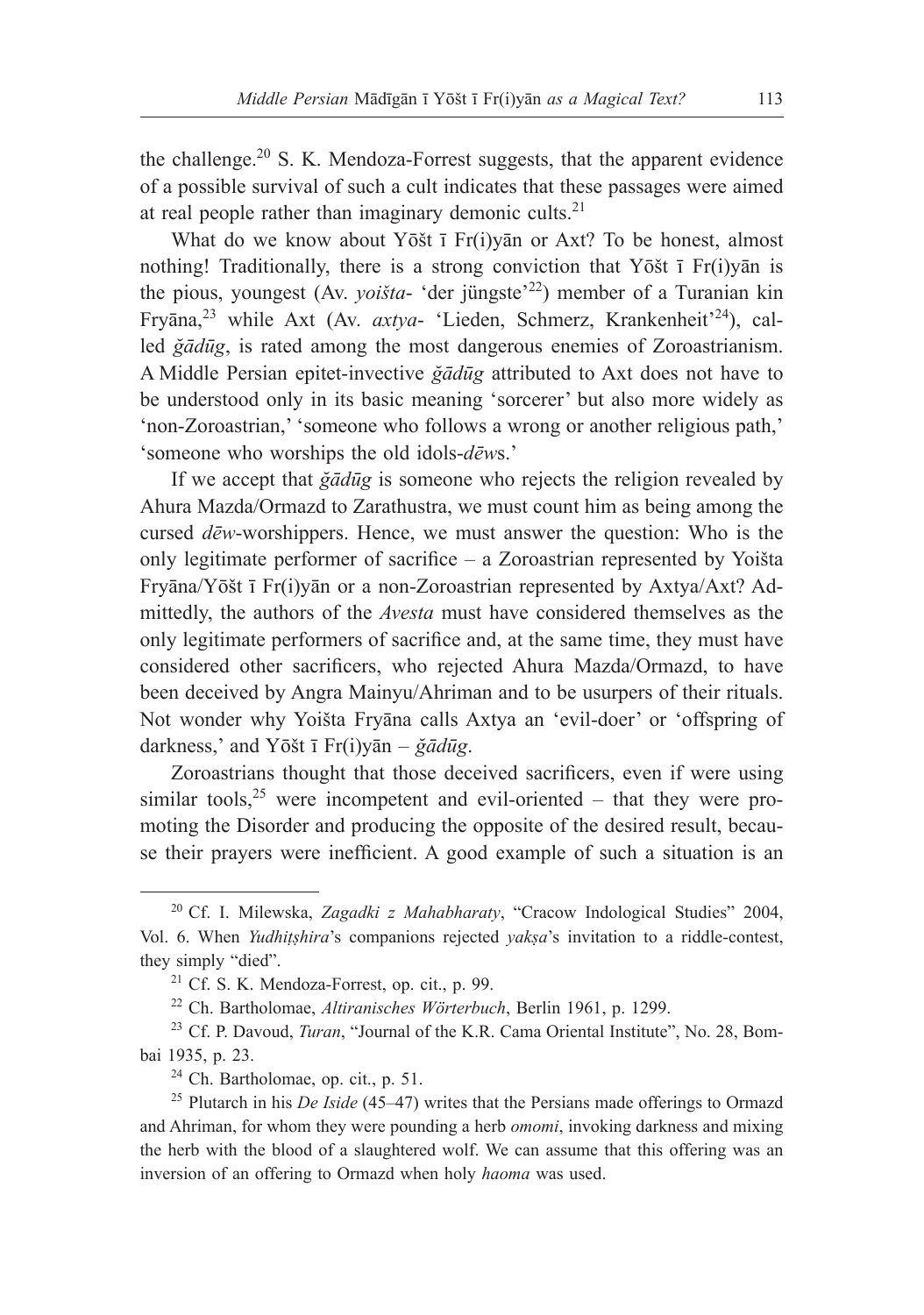the challenge.<sup>20</sup> S. K. Mendoza-Forrest suggests, that the apparent evidence of a possible survival of such a cult indicates that these passages were aimed at real people rather than imaginary demonic cults. $21$ 

What do we know about Yōšt ī Fr(i)yan or Axt? To be honest, almost nothing! Traditionally, there is a strong conviction that Yōšt  $\bar{I}$  Fr(i)y $\bar{a}$ n is the pious, youngest (Av. *yoišta*- 'der jüngste'<sup>22</sup>) member of a Turanian kin Fryāna,23 while Axt (Av. *axtya*- 'Lieden, Schmerz, Krankenheit'24), called *ğādūg*, is rated among the most dangerous enemies of Zoroastrianism. A Middle Persian epitet-invective *ğādūg* attributed to Axt does not have to be understood only in its basic meaning 'sorcerer' but also more widely as 'non-Zoroastrian,' 'someone who follows a wrong or another religious path,' 'someone who worships the old idols-*dēw*s.'

If we accept that *ğādūg* is someone who rejects the religion revealed by Ahura Mazda/Ormazd to Zarathustra, we must count him as being among the cursed *dēw*-worshippers. Hence, we must answer the question: Who is the only legitimate performer of sacrifice – a Zoroastrian represented by Yoišta Fryāna/Yōšt ī Fr(i)yān or a non-Zoroastrian represented by Axtya/Axt? Admittedly, the authors of the *Avesta* must have considered themselves as the only legitimate performers of sacrifice and, at the same time, they must have considered other sacrificers, who rejected Ahura Mazda/Ormazd, to have been deceived by Angra Mainyu/Ahriman and to be usurpers of their rituals. Not wonder why Yoišta Fryāna calls Axtya an 'evil-doer' or 'offspring of darkness,' and Yōšt ī Fr(i)yān – *ğādūg*.

Zoroastrians thought that those deceived sacrificers, even if were using similar tools,  $25$  were incompetent and evil-oriented – that they were promoting the Disorder and producing the opposite of the desired result, because their prayers were inefficient. A good example of such a situation is an

<sup>20</sup> Cf. I. Milewska, *Zagadki z Mahabharaty*, "Cracow Indological Studies" 2004, Vol. 6. When *Yudhiṭṣhira*'s companions rejected *yakṣa*'s invitation to a riddle-contest, they simply "died".

 $21$  Cf. S. K. Mendoza-Forrest, op. cit., p. 99.

<sup>&</sup>lt;sup>22</sup> Ch. Bartholomae, *Altiranisches Wörterbuch*, Berlin 1961, p. 1299.<br><sup>23</sup> Cf. P. Davoud, *Turan*, "Journal of the K.R. Cama Oriental Institute", No. 28, Bom-

bai 1935, p. 23.

<sup>24</sup> Ch. Bartholomae, op. cit., p. 51.

<sup>25</sup> Plutarch in his *De Iside* (45–47) writes that the Persians made offerings to Ormazd and Ahriman, for whom they were pounding a herb *omomi*, invoking darkness and mixing the herb with the blood of a slaughtered wolf. We can assume that this offering was an inversion of an offering to Ormazd when holy *haoma* was used.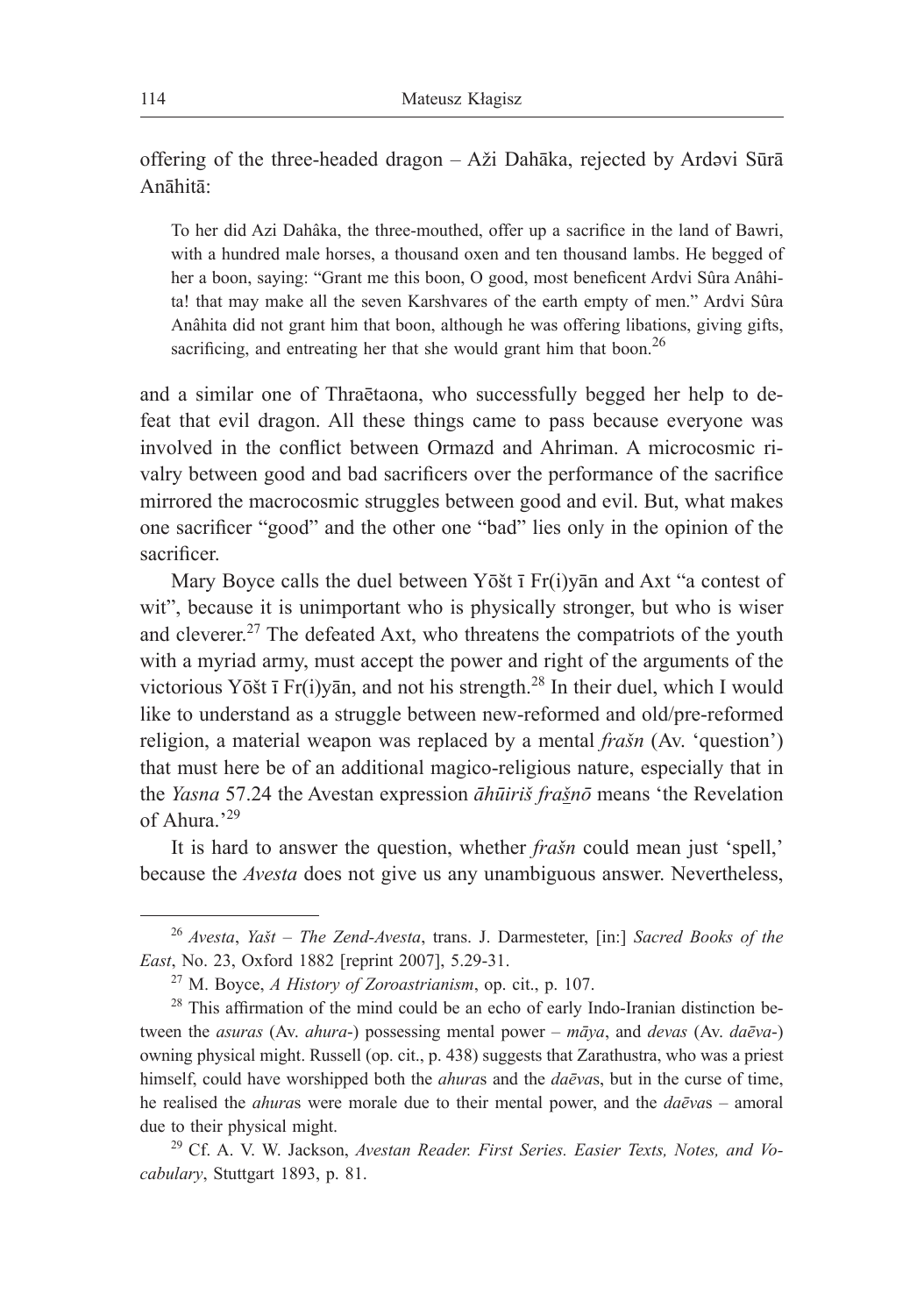offering of the three-headed dragon – Aži Dahāka, rejected by Ardəvi Sūrā Anāhitā:

To her did Azi Dahâka, the three-mouthed, offer up a sacrifice in the land of Bawri, with a hundred male horses, a thousand oxen and ten thousand lambs. He begged of her a boon, saying: "Grant me this boon, O good, most beneficent Ardvi Sûra Anâhita! that may make all the seven Karshvares of the earth empty of men." Ardvi Sûra Anâhita did not grant him that boon, although he was offering libations, giving gifts, sacrificing, and entreating her that she would grant him that boon.<sup>26</sup>

and a similar one of Thraētaona, who successfully begged her help to defeat that evil dragon. All these things came to pass because everyone was involved in the conflict between Ormazd and Ahriman. A microcosmic rivalry between good and bad sacrificers over the performance of the sacrifice mirrored the macrocosmic struggles between good and evil. But, what makes one sacrificer "good" and the other one "bad" lies only in the opinion of the sacrificer.

Mary Boyce calls the duel between Yōšt ī Fr(i)yān and Axt "a contest of wit", because it is unimportant who is physically stronger, but who is wiser and cleverer.27 The defeated Axt, who threatens the compatriots of the youth with a myriad army, must accept the power and right of the arguments of the victorious Yōšt ī Fr(i)yān, and not his strength.<sup>28</sup> In their duel, which I would like to understand as a struggle between new-reformed and old/pre-reformed religion, a material weapon was replaced by a mental *frašn* (Av. 'question') that must here be of an additional magico-religious nature, especially that in the *Yasna* 57.24 the Avestan expression *āhūiriš frašnō* means 'the Revelation of Ahura<sup>'29</sup>

It is hard to answer the question, whether *frašn* could mean just 'spell,' because the *Avesta* does not give us any unambiguous answer. Nevertheless,

<sup>26</sup> *Avesta*, *Yašt* – *The Zend-Avesta*, trans. J. Darmesteter, [in:] *Sacred Books of the East*, No. 23, Oxford 1882 [reprint 2007], 5.29-31.

<sup>27</sup> M. Boyce, *A History of Zoroastrianism*, op. cit., p. 107.

 $28$  This affirmation of the mind could be an echo of early Indo-Iranian distinction between the *asuras* (Av. *ahura*-) possessing mental power – *māya*, and *devas* (Av. *daēva*-) owning physical might. Russell (op. cit., p. 438) suggests that Zarathustra, who was a priest himself, could have worshipped both the *ahura*s and the *daēva*s, but in the curse of time, he realised the *ahura*s were morale due to their mental power, and the *daēva*s – amoral due to their physical might.

<sup>29</sup> Cf. A. V. W. Jackson, *Avestan Reader. First Series. Easier Texts, Notes, and Vocabulary*, Stuttgart 1893, p. 81.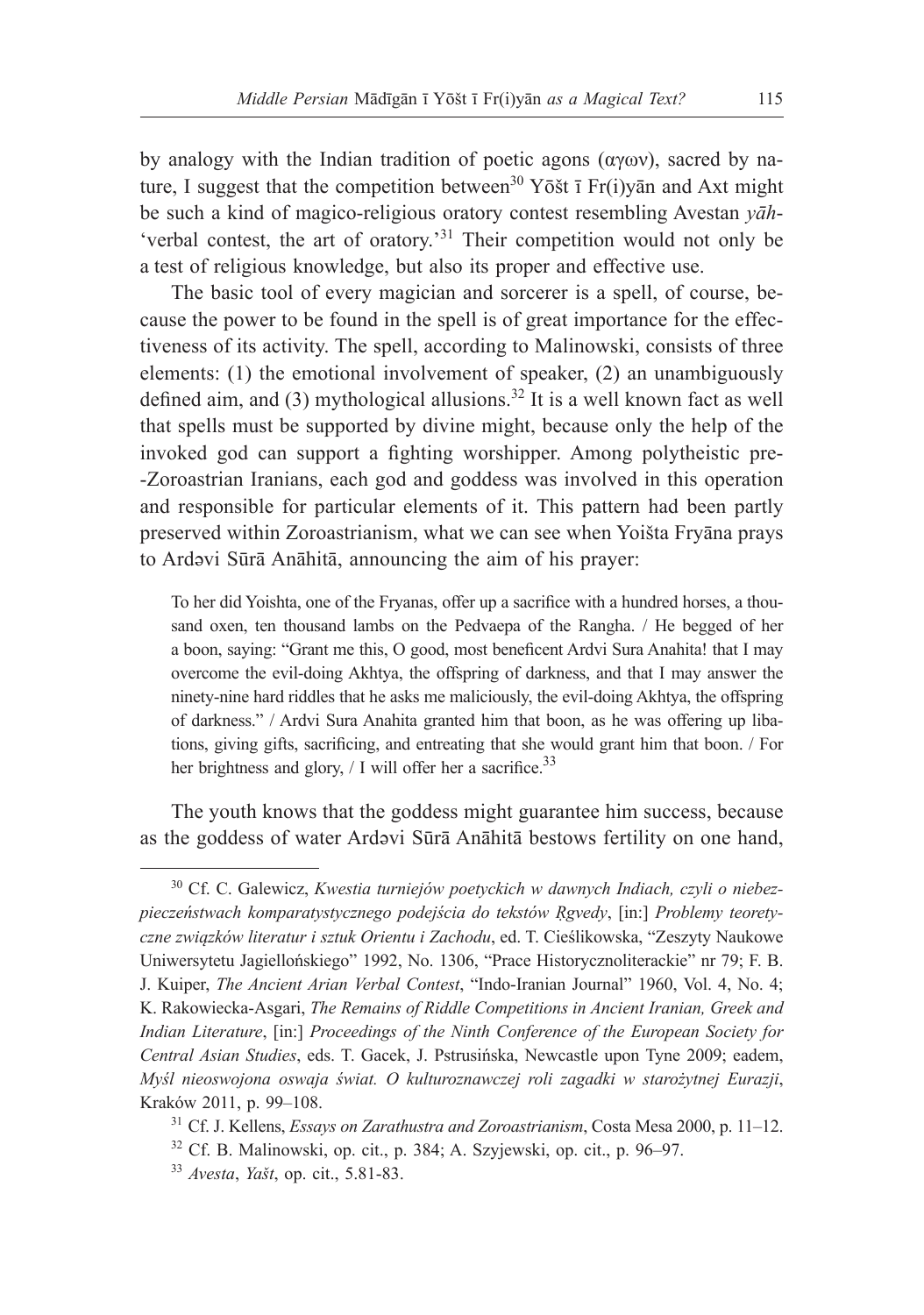by analogy with the Indian tradition of poetic agons (αγων), sacred by nature, I suggest that the competition between<sup>30</sup> Yōšt ī Fr(i)yan and Axt might be such a kind of magico-religious oratory contest resembling Avestan *yāh*- 'verbal contest, the art of oratory.'<sup>31</sup> Their competition would not only be a test of religious knowledge, but also its proper and effective use.

The basic tool of every magician and sorcerer is a spell, of course, because the power to be found in the spell is of great importance for the effectiveness of its activity. The spell, according to Malinowski, consists of three elements: (1) the emotional involvement of speaker, (2) an unambiguously defined aim, and (3) mythological allusions.<sup>32</sup> It is a well known fact as well that spells must be supported by divine might, because only the help of the invoked god can support a fighting worshipper. Among polytheistic pre- -Zoroastrian Iranians, each god and goddess was involved in this operation and responsible for particular elements of it. This pattern had been partly preserved within Zoroastrianism, what we can see when Yoišta Fryāna prays to Ardǝvi Sūrā Anāhitā, announcing the aim of his prayer:

To her did Yoishta, one of the Fryanas, offer up a sacrifice with a hundred horses, a thousand oxen, ten thousand lambs on the Pedvaepa of the Rangha. / He begged of her a boon, saying: "Grant me this, O good, most beneficent Ardvi Sura Anahita! that I may overcome the evil-doing Akhtya, the offspring of darkness, and that I may answer the ninety-nine hard riddles that he asks me maliciously, the evil-doing Akhtya, the offspring of darkness." / Ardvi Sura Anahita granted him that boon, as he was offering up libations, giving gifts, sacrificing, and entreating that she would grant him that boon. / For her brightness and glory,  $/$  I will offer her a sacrifice.<sup>33</sup>

The youth knows that the goddess might guarantee him success, because as the goddess of water Ardəvi Sūrā Anāhitā bestows fertility on one hand,

<sup>30</sup> Cf. C. Galewicz, *Kwestia turniejów poetyckich w dawnych Indiach, czyli o niebezpieczeństwach komparatystycznego podejścia do tekstów Ṛgvedy*, [in:] *Problemy teoretyczne związków literatur i sztuk Orientu i Zachodu*, ed. T. Cieślikowska, "Zeszyty Naukowe Uniwersytetu Jagiellońskiego" 1992, No. 1306, "Prace Historycznoliterackie" nr 79; F. B. J. Kuiper, *The Ancient Arian Verbal Contest*, "Indo-Iranian Journal" 1960, Vol. 4, No. 4; K. Rakowiecka-Asgari, *The Remains of Riddle Competitions in Ancient Iranian, Greek and Indian Literature*, [in:] *Proceedings of the Ninth Conference of the European Society for Central Asian Studies*, eds. T. Gacek, J. Pstrusińska, Newcastle upon Tyne 2009; eadem, *Myśl nieoswojona oswaja świat. O kulturoznawczej roli zagadki w starożytnej Eurazji*, Kraków 2011, p. 99–108.

<sup>31</sup> Cf. J. Kellens, *Essays on Zarathustra and Zoroastrianism*, Costa Mesa 2000, p. 11–12.

<sup>32</sup> Cf. B. Malinowski, op. cit., p. 384; A. Szyjewski, op. cit., p. 96–97.

<sup>33</sup> *Avesta*, *Yašt*, op. cit., 5.81-83.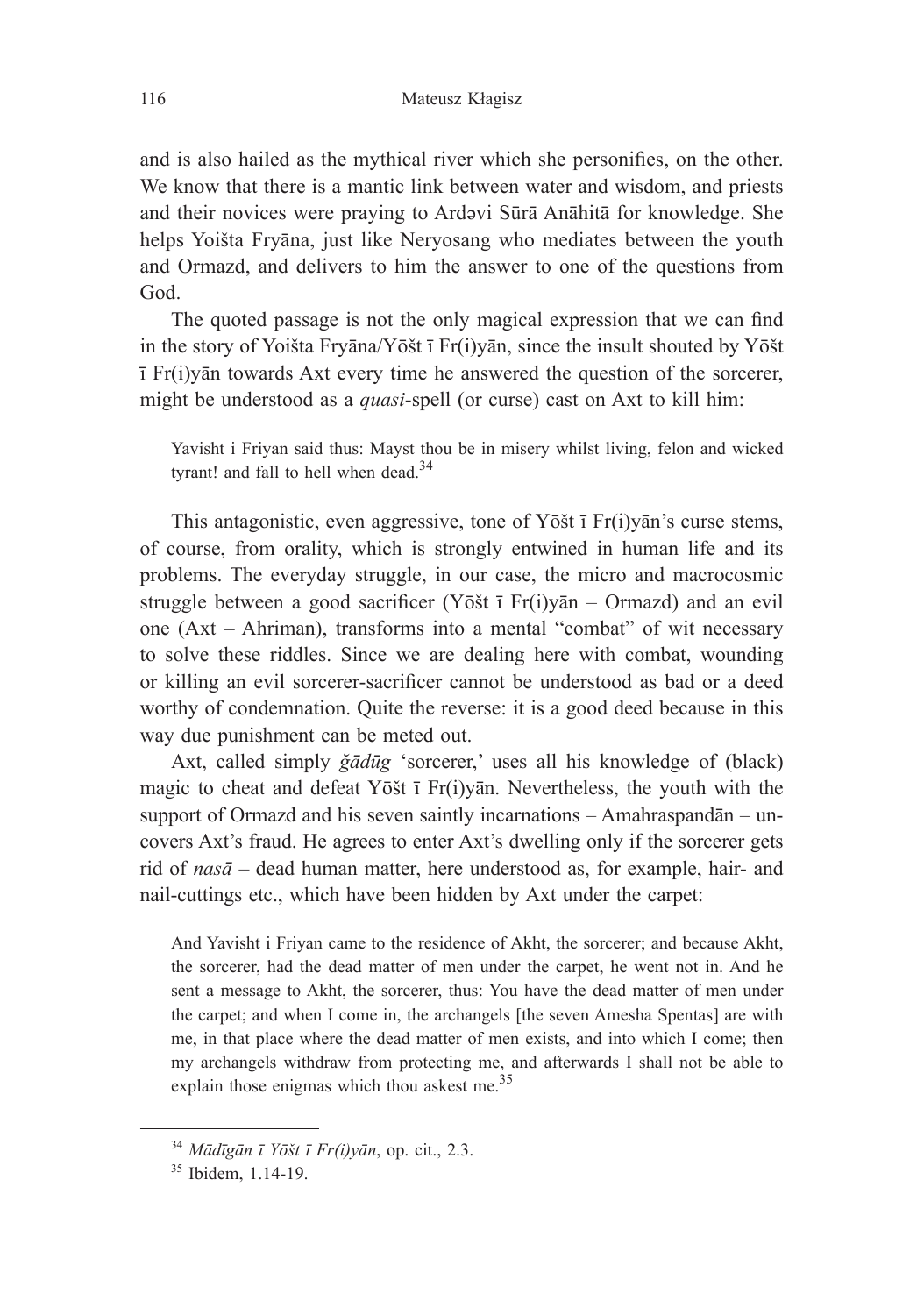and is also hailed as the mythical river which she personifies, on the other. We know that there is a mantic link between water and wisdom, and priests and their novices were praying to Ardəvi Sūrā Anāhitā for knowledge. She helps Yoišta Fryāna, just like Neryosang who mediates between the youth and Ormazd, and delivers to him the answer to one of the questions from God.

The quoted passage is not the only magical expression that we can find in the story of Yoišta Fryāna/Yōšt ī Fr(i)yān, since the insult shouted by Yōšt ī Fr(i)yān towards Axt every time he answered the question of the sorcerer, might be understood as a *quasi*-spell (or curse) cast on Axt to kill him:

Yavisht i Friyan said thus: Mayst thou be in misery whilst living, felon and wicked tyrant! and fall to hell when dead.<sup>34</sup>

This antagonistic, even aggressive, tone of Yōšt ī Fr(i)yān's curse stems, of course, from orality, which is strongly entwined in human life and its problems. The everyday struggle, in our case, the micro and macrocosmic struggle between a good sacrificer (Yōšt ī Fr(i)yān – Ormazd) and an evil one (Axt – Ahriman), transforms into a mental "combat" of wit necessary to solve these riddles. Since we are dealing here with combat, wounding or killing an evil sorcerer-sacrificer cannot be understood as bad or a deed worthy of condemnation. Quite the reverse: it is a good deed because in this way due punishment can be meted out.

Axt, called simply *ğādūg* 'sorcerer,' uses all his knowledge of (black) magic to cheat and defeat Yōšt ī Fr(i)yān. Nevertheless, the youth with the support of Ormazd and his seven saintly incarnations – Amahraspandān – uncovers Axt's fraud. He agrees to enter Axt's dwelling only if the sorcerer gets rid of *nasā* – dead human matter, here understood as, for example, hair- and nail-cuttings etc., which have been hidden by Axt under the carpet:

And Yavisht i Friyan came to the residence of Akht, the sorcerer; and because Akht, the sorcerer, had the dead matter of men under the carpet, he went not in. And he sent a message to Akht, the sorcerer, thus: You have the dead matter of men under the carpet; and when I come in, the archangels [the seven Amesha Spentas] are with me, in that place where the dead matter of men exists, and into which I come; then my archangels withdraw from protecting me, and afterwards I shall not be able to explain those enigmas which thou askest me.<sup>35</sup>

<sup>34</sup> *Mādīgān ī Yōšt ī Fr(i)yān*, op. cit., 2.3.

<sup>35</sup> Ibidem, 1.14-19.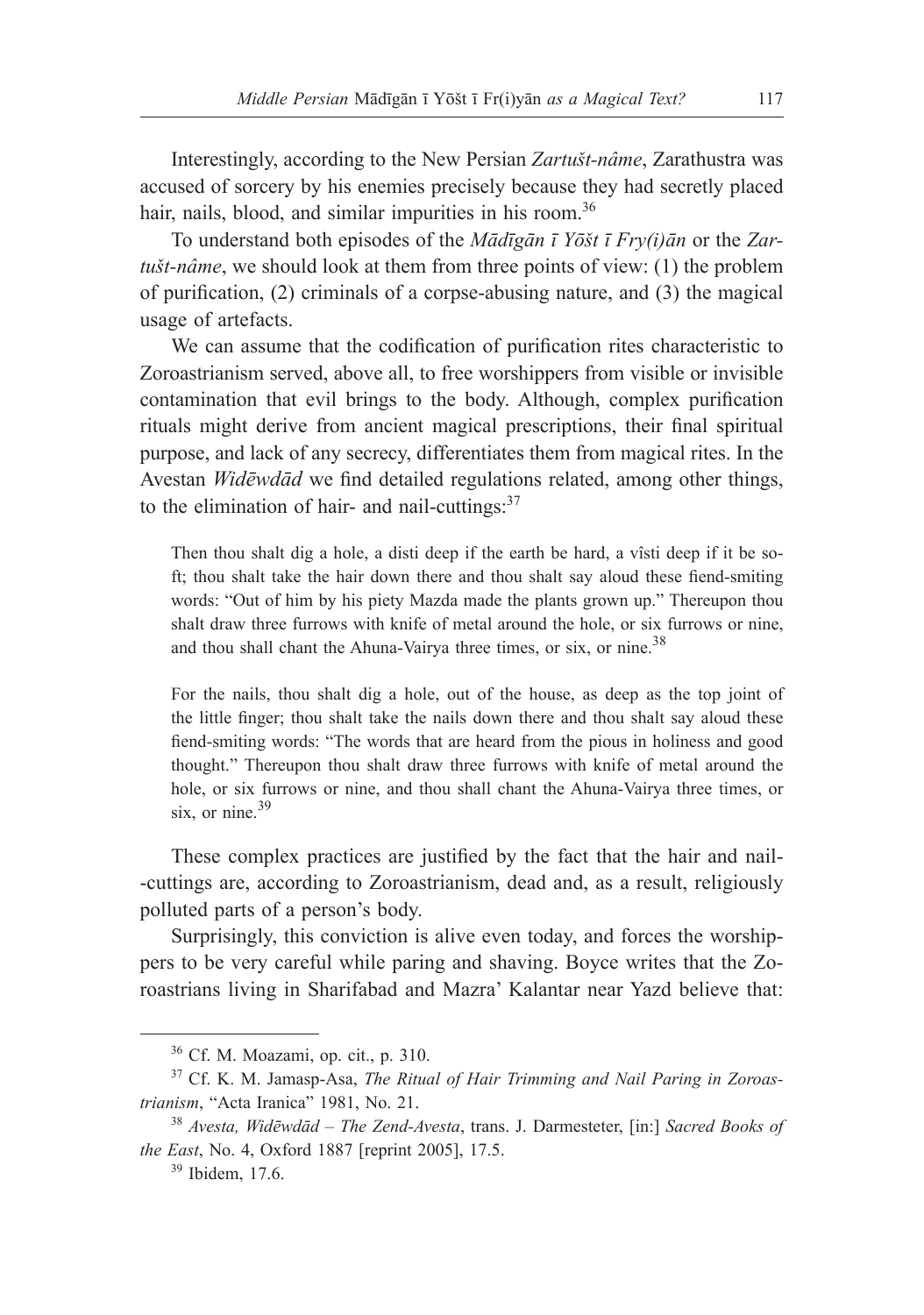Interestingly, according to the New Persian *Zartušt-nâme*, Zarathustra was accused of sorcery by his enemies precisely because they had secretly placed hair, nails, blood, and similar impurities in his room.<sup>36</sup>

To understand both episodes of the *Mādīgān ī Yōšt ī Fry(i)ān* or the *Zartušt-nâme*, we should look at them from three points of view: (1) the problem of purification, (2) criminals of a corpse-abusing nature, and (3) the magical usage of artefacts.

We can assume that the codification of purification rites characteristic to Zoroastrianism served, above all, to free worshippers from visible or invisible contamination that evil brings to the body. Although, complex purification rituals might derive from ancient magical prescriptions, their final spiritual purpose, and lack of any secrecy, differentiates them from magical rites. In the Avestan *Widēwdād* we find detailed regulations related, among other things, to the elimination of hair- and nail-cuttings: $37$ 

Then thou shalt dig a hole, a disti deep if the earth be hard, a vîsti deep if it be soft; thou shalt take the hair down there and thou shalt say aloud these fiend-smiting words: "Out of him by his piety Mazda made the plants grown up." Thereupon thou shalt draw three furrows with knife of metal around the hole, or six furrows or nine, and thou shall chant the Ahuna-Vairya three times, or six, or nine.<sup>38</sup>

For the nails, thou shalt dig a hole, out of the house, as deep as the top joint of the little finger; thou shalt take the nails down there and thou shalt say aloud these fiend-smiting words: "The words that are heard from the pious in holiness and good thought." Thereupon thou shalt draw three furrows with knife of metal around the hole, or six furrows or nine, and thou shall chant the Ahuna-Vairya three times, or six, or nine. $39$ 

These complex practices are justified by the fact that the hair and nail- -cuttings are, according to Zoroastrianism, dead and, as a result, religiously polluted parts of a person's body.

Surprisingly, this conviction is alive even today, and forces the worshippers to be very careful while paring and shaving. Boyce writes that the Zoroastrians living in Sharifabad and Mazra' Kalantar near Yazd believe that:

<sup>36</sup> Cf. M. Moazami, op. cit., p. 310.

<sup>37</sup> Cf. K. M. Jamasp-Asa, *The Ritual of Hair Trimming and Nail Paring in Zoroastrianism*, "Acta Iranica" 1981, No. 21.

<sup>38</sup> *Avesta, Widēwdād* – *The Zend-Avesta*, trans. J. Darmesteter, [in:] *Sacred Books of the East*, No. 4, Oxford 1887 [reprint 2005], 17.5.

<sup>39</sup> Ibidem, 17.6.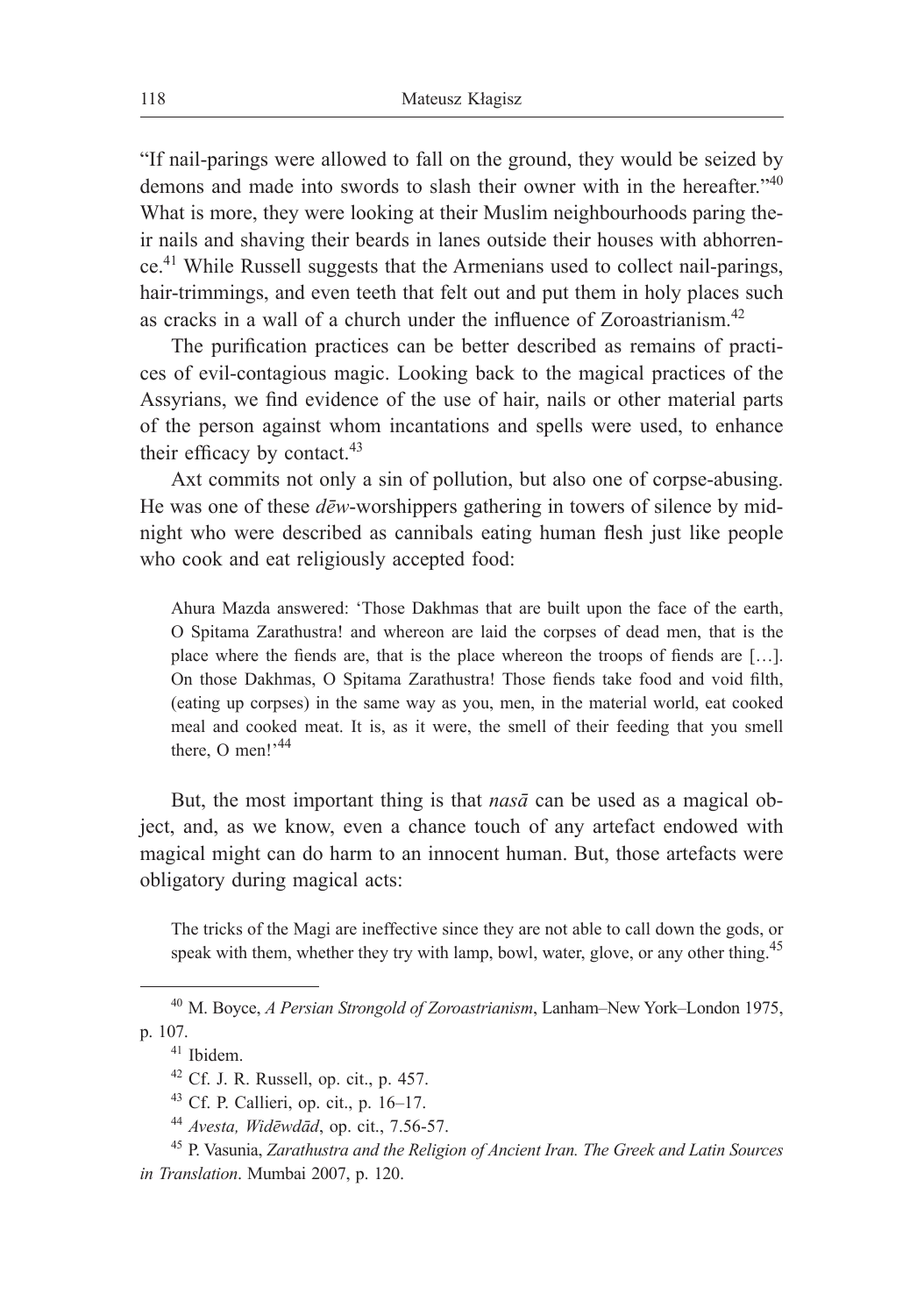"If nail-parings were allowed to fall on the ground, they would be seized by demons and made into swords to slash their owner with in the hereafter."<sup>40</sup> What is more, they were looking at their Muslim neighbourhoods paring their nails and shaving their beards in lanes outside their houses with abhorrence.41 While Russell suggests that the Armenians used to collect nail-parings, hair-trimmings, and even teeth that felt out and put them in holy places such as cracks in a wall of a church under the influence of Zoroastrianism.<sup>42</sup>

The purification practices can be better described as remains of practices of evil-contagious magic. Looking back to the magical practices of the Assyrians, we find evidence of the use of hair, nails or other material parts of the person against whom incantations and spells were used, to enhance their efficacy by contact.<sup>43</sup>

Axt commits not only a sin of pollution, but also one of corpse-abusing. He was one of these *dēw*-worshippers gathering in towers of silence by midnight who were described as cannibals eating human flesh just like people who cook and eat religiously accepted food:

Ahura Mazda answered: 'Those Dakhmas that are built upon the face of the earth, O Spitama Zarathustra! and whereon are laid the corpses of dead men, that is the place where the fiends are, that is the place whereon the troops of fiends are […]. On those Dakhmas, O Spitama Zarathustra! Those fiends take food and void filth, (eating up corpses) in the same way as you, men, in the material world, eat cooked meal and cooked meat. It is, as it were, the smell of their feeding that you smell there, O men! $^{44}$ 

But, the most important thing is that *nasā* can be used as a magical object, and, as we know, even a chance touch of any artefact endowed with magical might can do harm to an innocent human. But, those artefacts were obligatory during magical acts:

The tricks of the Magi are ineffective since they are not able to call down the gods, or speak with them, whether they try with lamp, bowl, water, glove, or any other thing.<sup>45</sup>

<sup>40</sup> M. Boyce, *A Persian Strongold of Zoroastrianism*, Lanham–New York–London 1975, p. 107.

<sup>41</sup> Ibidem.

 $42$  Cf. J. R. Russell, op. cit., p. 457.

<sup>43</sup> Cf. P. Callieri, op. cit., p. 16–17.

<sup>44</sup> *Avesta, Widēwdād*, op. cit., 7.56-57.

<sup>45</sup> P. Vasunia, *Zarathustra and the Religion of Ancient Iran. The Greek and Latin Sources in Translation*. Mumbai 2007, p. 120.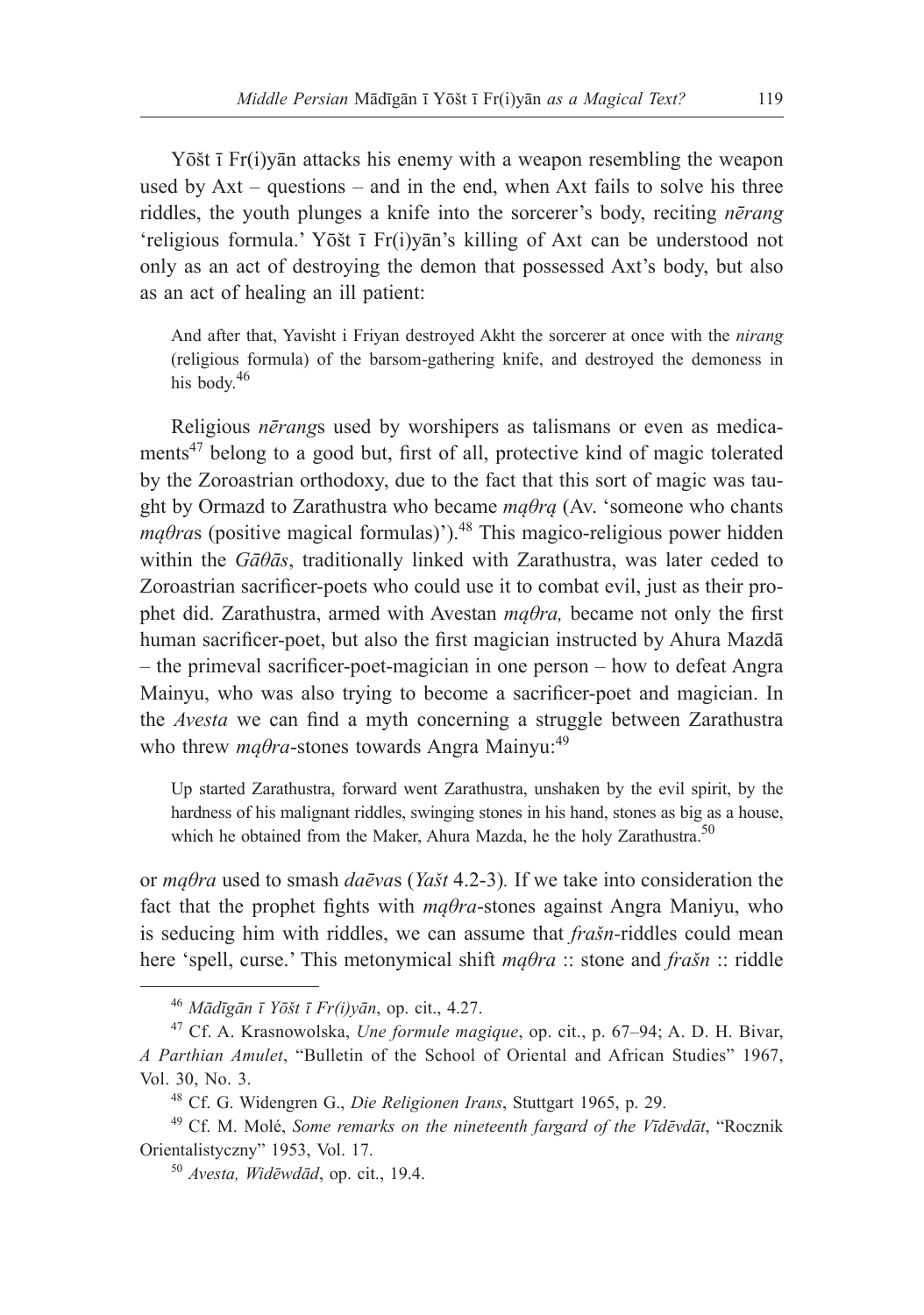Yōšt ī Fr(i)yān attacks his enemy with a weapon resembling the weapon used by Axt – questions – and in the end, when Axt fails to solve his three riddles, the youth plunges a knife into the sorcerer's body, reciting *nērang*  'religious formula.' Yōšt ī Fr(i)yān's killing of Axt can be understood not only as an act of destroying the demon that possessed Axt's body, but also as an act of healing an ill patient:

And after that, Yavisht i Friyan destroyed Akht the sorcerer at once with the *nirang* (religious formula) of the barsom-gathering knife, and destroyed the demoness in his body.<sup>46</sup>

Religious *nērang*s used by worshipers as talismans or even as medicaments<sup>47</sup> belong to a good but, first of all, protective kind of magic tolerated by the Zoroastrian orthodoxy, due to the fact that this sort of magic was taught by Ormazd to Zarathustra who became *mąθrą* (Av. 'someone who chants  $m\alpha\theta$ ras (positive magical formulas)').<sup>48</sup> This magico-religious power hidden within the *Gāθās*, traditionally linked with Zarathustra, was later ceded to Zoroastrian sacrificer-poets who could use it to combat evil, just as their prophet did. Zarathustra, armed with Avestan *mąθra,* became not only the first human sacrificer-poet, but also the first magician instructed by Ahura Mazdā – the primeval sacrificer-poet-magician in one person – how to defeat Angra Mainyu, who was also trying to become a sacrificer-poet and magician. In the *Avesta* we can find a myth concerning a struggle between Zarathustra who threw  $mq\theta ra$ -stones towards Angra Mainyu:<sup>49</sup>

Up started Zarathustra, forward went Zarathustra, unshaken by the evil spirit, by the hardness of his malignant riddles, swinging stones in his hand, stones as big as a house, which he obtained from the Maker, Ahura Mazda, he the holy Zarathustra.<sup>50</sup>

or *mąθra* used to smash *daēva*s (*Yašt* 4.2-3)*.* If we take into consideration the fact that the prophet fights with *mąθra*-stones against Angra Maniyu, who is seducing him with riddles, we can assume that *frašn-*riddles could mean here 'spell, curse.' This metonymical shift *mąθra* :: stone and *frašn* :: riddle

<sup>46</sup> *Mādīgān ī Yōšt ī Fr(i)yān*, op. cit., 4.27.

<sup>47</sup> Cf. A. Krasnowolska, *Une formule magique*, op. cit., p. 67–94; A. D. H. Bivar, *A Parthian Amulet*, "Bulletin of the School of Oriental and African Studies" 1967, Vol. 30, No. 3.

<sup>48</sup> Cf. G. Widengren G., *Die Religionen Irans*, Stuttgart 1965, p. 29.

<sup>49</sup> Cf. M. Molé, *Some remarks on the nineteenth fargard of the Vīdēvdāt*, "Rocznik Orientalistyczny" 1953, Vol. 17.

<sup>50</sup> *Avesta, Widēwdād*, op. cit., 19.4.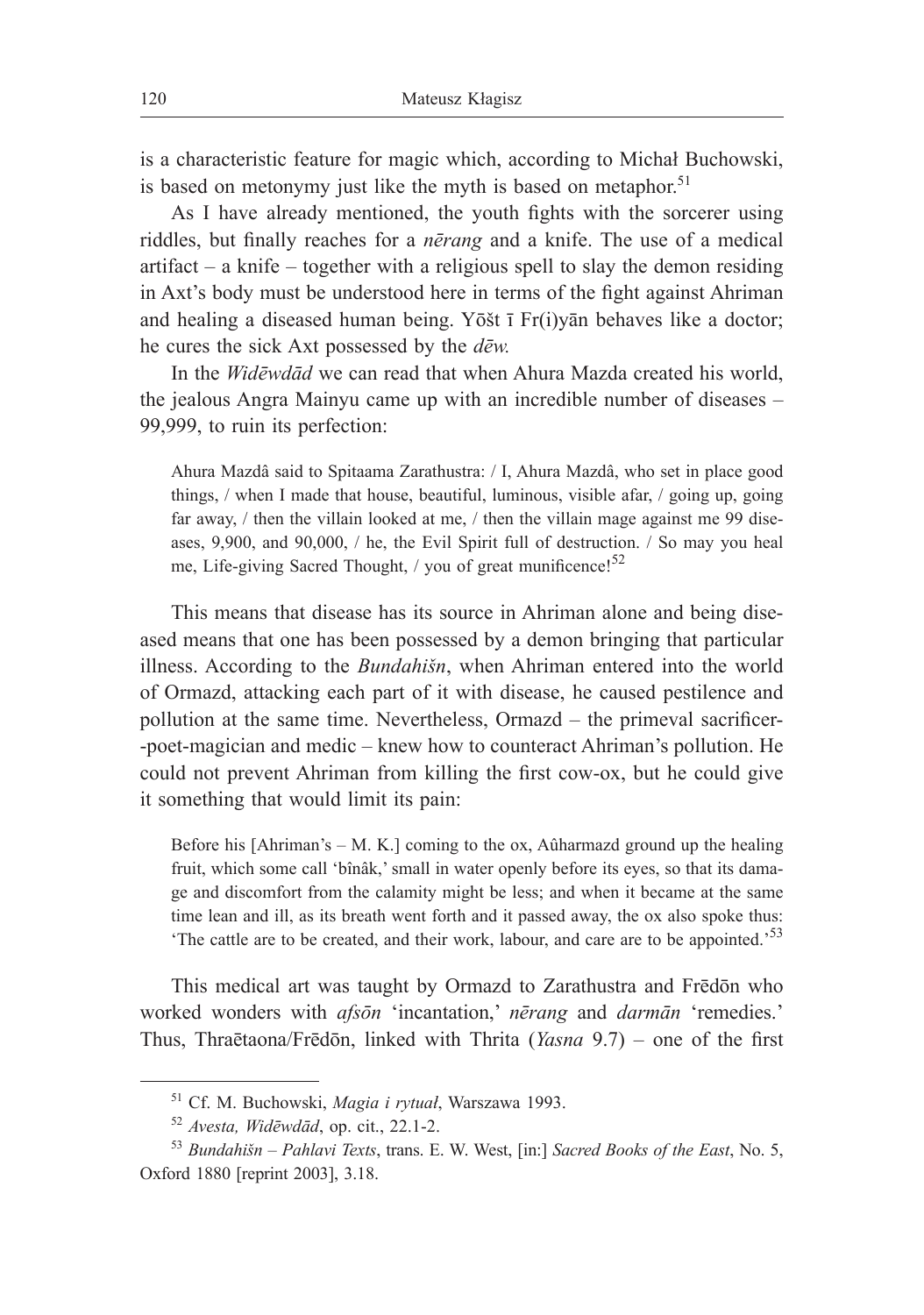is a characteristic feature for magic which, according to Michał Buchowski, is based on metonymy just like the myth is based on metaphor.<sup>51</sup>

As I have already mentioned, the youth fights with the sorcerer using riddles, but finally reaches for a *nērang* and a knife. The use of a medical artifact – a knife – together with a religious spell to slay the demon residing in Axt's body must be understood here in terms of the fight against Ahriman and healing a diseased human being. Yōšt ī Fr(i)yān behaves like a doctor; he cures the sick Axt possessed by the *dēw.*

In the *Widēwdād* we can read that when Ahura Mazda created his world, the jealous Angra Mainyu came up with an incredible number of diseases – 99,999, to ruin its perfection:

Ahura Mazdâ said to Spitaama Zarathustra: / I, Ahura Mazdâ, who set in place good things, / when I made that house, beautiful, luminous, visible afar, / going up, going far away, / then the villain looked at me, / then the villain mage against me 99 diseases, 9,900, and 90,000, / he, the Evil Spirit full of destruction. / So may you heal me, Life-giving Sacred Thought,  $\frac{1}{2}$  you of great munificence!<sup>52</sup>

This means that disease has its source in Ahriman alone and being diseased means that one has been possessed by a demon bringing that particular illness. According to the *Bundahišn*, when Ahriman entered into the world of Ormazd, attacking each part of it with disease, he caused pestilence and pollution at the same time. Nevertheless, Ormazd – the primeval sacrificer- -poet-magician and medic – knew how to counteract Ahriman's pollution. He could not prevent Ahriman from killing the first cow-ox, but he could give it something that would limit its pain:

Before his [Ahriman's – M. K.] coming to the ox, Aûharmazd ground up the healing fruit, which some call 'bînâk,' small in water openly before its eyes, so that its damage and discomfort from the calamity might be less; and when it became at the same time lean and ill, as its breath went forth and it passed away, the ox also spoke thus: 'The cattle are to be created, and their work, labour, and care are to be appointed.'53

This medical art was taught by Ormazd to Zarathustra and Frēdōn who worked wonders with *afsōn* 'incantation,' *nērang* and *darmān* 'remedies.' Thus, Thraētaona/Frēdōn, linked with Thrita (*Yasna* 9.7) – one of the first

<sup>51</sup> Cf. M. Buchowski, *Magia i rytuał*, Warszawa 1993.

<sup>52</sup> *Avesta, Widēwdād*, op. cit., 22.1-2.

<sup>53</sup> *Bundahišn* – *Pahlavi Texts*, trans. E. W. West, [in:] *Sacred Books of the East*, No. 5, Oxford 1880 [reprint 2003], 3.18.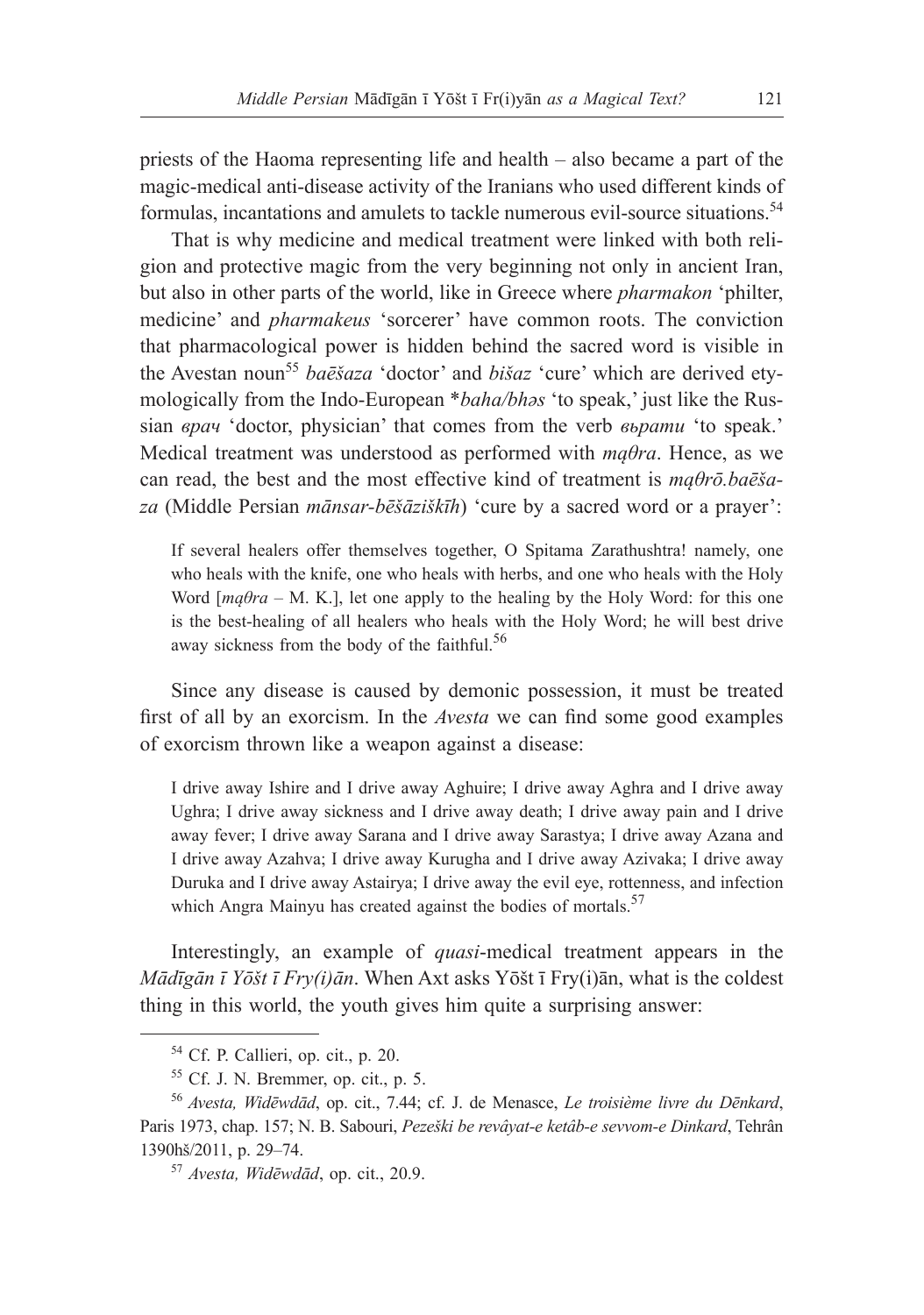priests of the Haoma representing life and health – also became a part of the magic-medical anti-disease activity of the Iranians who used different kinds of formulas, incantations and amulets to tackle numerous evil-source situations.<sup>54</sup>

That is why medicine and medical treatment were linked with both religion and protective magic from the very beginning not only in ancient Iran, but also in other parts of the world, like in Greece where *pharmakon* 'philter, medicine' and *pharmakeus* 'sorcerer' have common roots. The conviction that pharmacological power is hidden behind the sacred word is visible in the Avestan noun<sup>55</sup> *baēšaza* 'doctor' and *bišaz* 'cure' which are derived etymologically from the Indo-European \**baha/bhәs* 'to speak,' just like the Russian *врач* 'doctor, physician' that comes from the verb *вьрати* 'to speak.' Medical treatment was understood as performed with *mąθra*. Hence, as we can read, the best and the most effective kind of treatment is *mąθrō.baēšaza* (Middle Persian *mānsar-bēšāziškīh*) 'cure by a sacred word or a prayer':

If several healers offer themselves together, O Spitama Zarathushtra! namely, one who heals with the knife, one who heals with herbs, and one who heals with the Holy Word [*mąθra* – M. K.], let one apply to the healing by the Holy Word: for this one is the best-healing of all healers who heals with the Holy Word; he will best drive away sickness from the body of the faithful.<sup>56</sup>

Since any disease is caused by demonic possession, it must be treated first of all by an exorcism. In the *Avesta* we can find some good examples of exorcism thrown like a weapon against a disease:

I drive away Ishire and I drive away Aghuire; I drive away Aghra and I drive away Ughra; I drive away sickness and I drive away death; I drive away pain and I drive away fever; I drive away Sarana and I drive away Sarastya; I drive away Azana and I drive away Azahva; I drive away Kurugha and I drive away Azivaka; I drive away Duruka and I drive away Astairya; I drive away the evil eye, rottenness, and infection which Angra Mainyu has created against the bodies of mortals.<sup>57</sup>

Interestingly, an example of *quasi*-medical treatment appears in the *Mādīgān ī Yōšt ī Fry(i)ān*. When Axt asks Yōšt ī Fry(i)ān, what is the coldest thing in this world, the youth gives him quite a surprising answer:

<sup>54</sup> Cf. P. Callieri, op. cit., p. 20.

 $55$  Cf. J. N. Bremmer, op. cit., p. 5.

<sup>56</sup> *Avesta, Widēwdād*, op. cit., 7.44; cf. J. de Menasce, *Le troisième livre du Dēnkard*, Paris 1973, chap. 157; N. B. Sabouri, *Pezeški be revâyat-e ketâb-e sevvom-e Dinkard*, Tehrân 1390hš/2011, p. 29–74.

<sup>57</sup> *Avesta, Widēwdād*, op. cit., 20.9.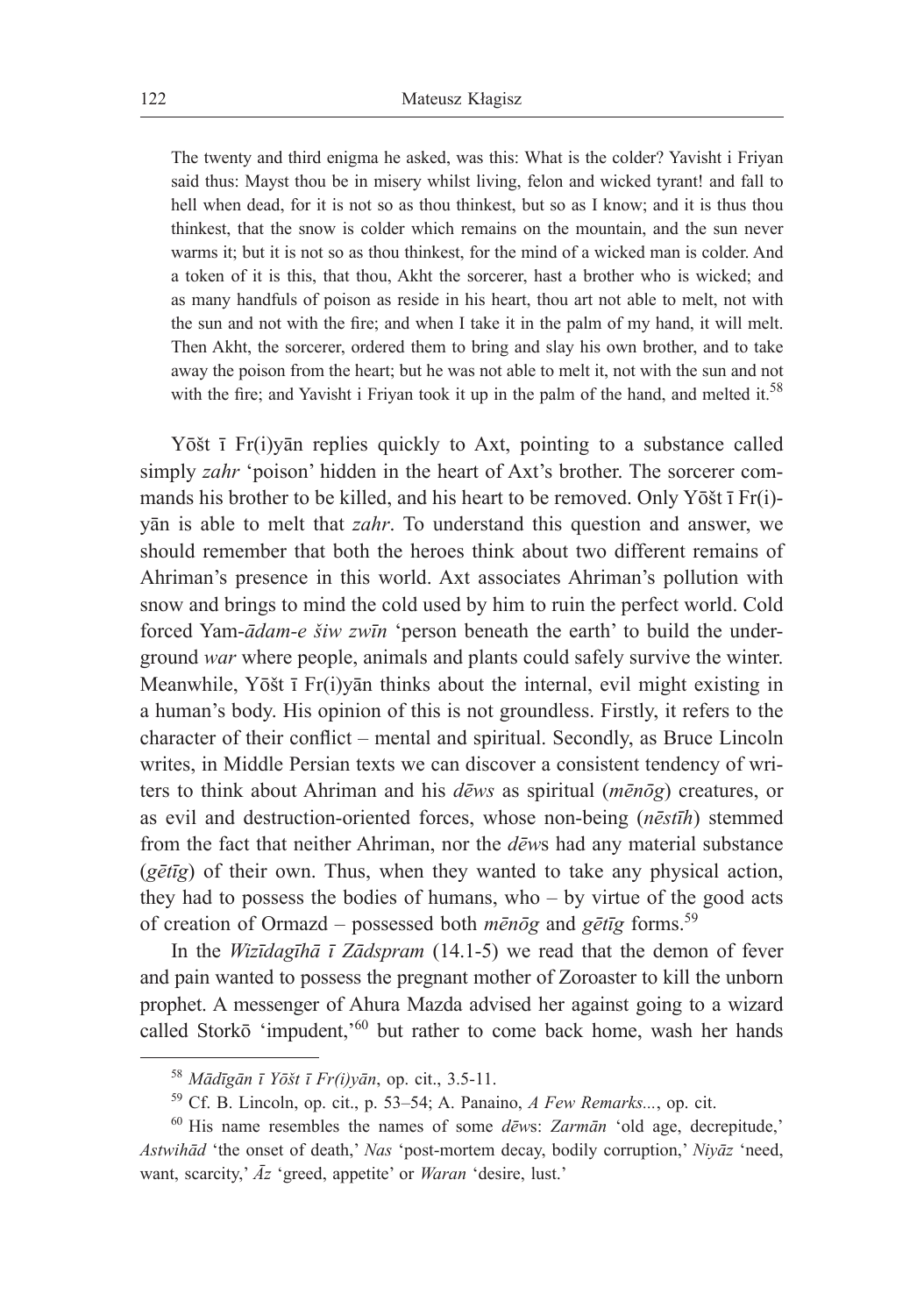The twenty and third enigma he asked, was this: What is the colder? Yavisht i Friyan said thus: Mayst thou be in misery whilst living, felon and wicked tyrant! and fall to hell when dead, for it is not so as thou thinkest, but so as I know; and it is thus thou thinkest, that the snow is colder which remains on the mountain, and the sun never warms it; but it is not so as thou thinkest, for the mind of a wicked man is colder. And a token of it is this, that thou, Akht the sorcerer, hast a brother who is wicked; and as many handfuls of poison as reside in his heart, thou art not able to melt, not with the sun and not with the fire; and when I take it in the palm of my hand, it will melt. Then Akht, the sorcerer, ordered them to bring and slay his own brother, and to take away the poison from the heart; but he was not able to melt it, not with the sun and not with the fire; and Yavisht i Friyan took it up in the palm of the hand, and melted it.<sup>58</sup>

Yōšt ī Fr(i)yān replies quickly to Axt, pointing to a substance called simply *zahr* 'poison' hidden in the heart of Axt's brother. The sorcerer commands his brother to be killed, and his heart to be removed. Only Yōšt ī Fr(i) yān is able to melt that *zahr*. To understand this question and answer, we should remember that both the heroes think about two different remains of Ahriman's presence in this world. Axt associates Ahriman's pollution with snow and brings to mind the cold used by him to ruin the perfect world. Cold forced Yam-*ādam-e šiw zwīn* 'person beneath the earth' to build the underground *war* where people, animals and plants could safely survive the winter. Meanwhile, Yōšt ī Fr(i)yān thinks about the internal, evil might existing in a human's body. His opinion of this is not groundless. Firstly, it refers to the character of their conflict – mental and spiritual. Secondly, as Bruce Lincoln writes, in Middle Persian texts we can discover a consistent tendency of writers to think about Ahriman and his *dēws* as spiritual (*mēnōg*) creatures, or as evil and destruction-oriented forces, whose non-being (*nēstīh*) stemmed from the fact that neither Ahriman, nor the *dēw*s had any material substance (*gētīg*) of their own. Thus, when they wanted to take any physical action, they had to possess the bodies of humans, who – by virtue of the good acts of creation of Ormazd – possessed both *mēnōg* and *gētīg* forms.<sup>59</sup>

In the *Wizīdagīhā ī Zādspram* (14.1-5) we read that the demon of fever and pain wanted to possess the pregnant mother of Zoroaster to kill the unborn prophet. A messenger of Ahura Mazda advised her against going to a wizard called Storkō 'impudent,'<sup>60</sup> but rather to come back home, wash her hands

<sup>58</sup> *Mādīgān ī Yōšt ī Fr(i)yān*, op. cit., 3.5-11.

<sup>59</sup> Cf. B. Lincoln, op. cit., p. 53–54; A. Panaino, *A Few Remarks...*, op. cit.

<sup>60</sup> His name resembles the names of some *dēw*s: *Zarmān* 'old age, decrepitude,' *Astwihād* 'the onset of death,' *Nas* 'post-mortem decay, bodily corruption,' *Niyāz* 'need, want, scarcity,' *Āz* 'greed, appetite' or *Waran* 'desire, lust.'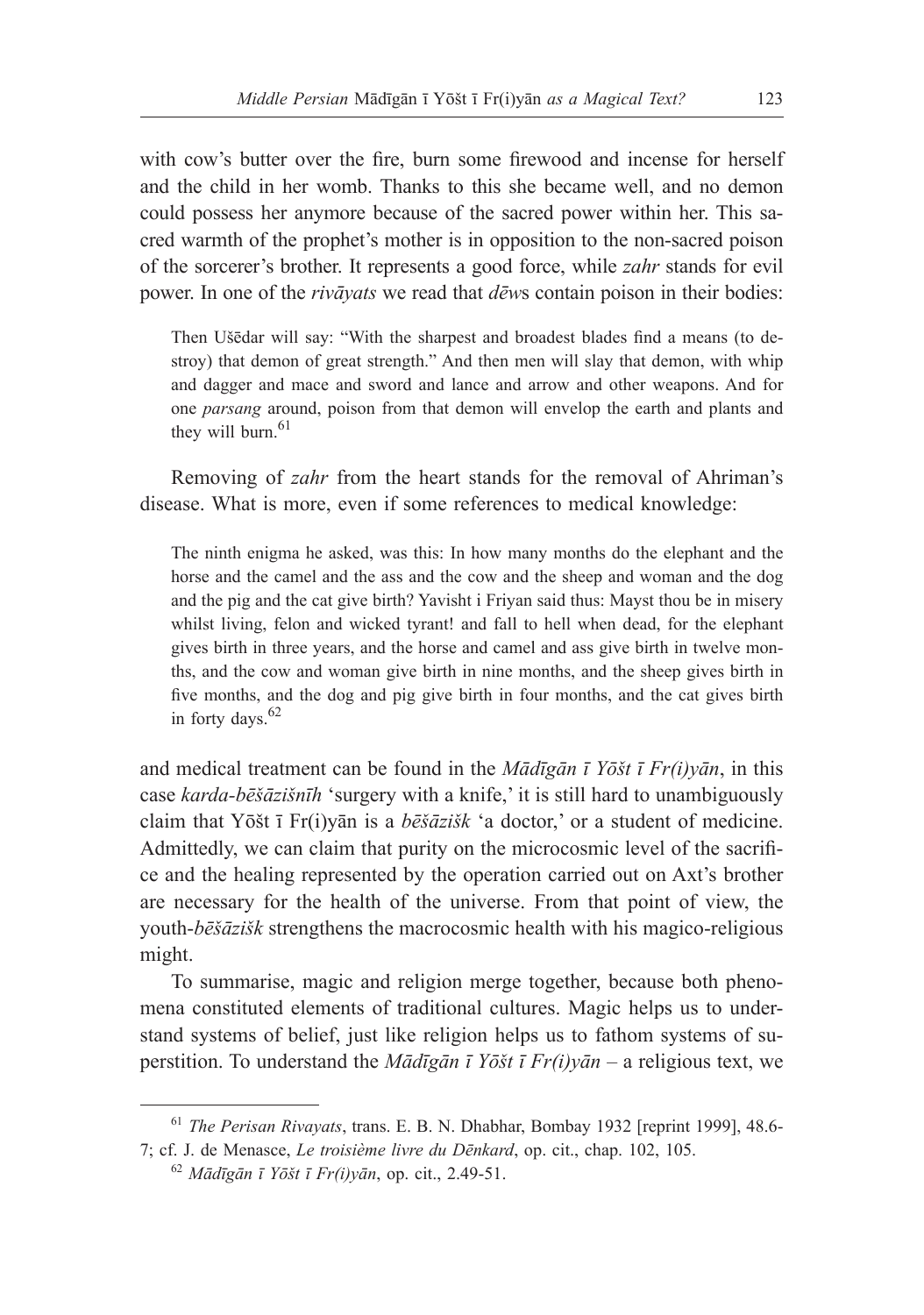with cow's butter over the fire, burn some firewood and incense for herself and the child in her womb. Thanks to this she became well, and no demon could possess her anymore because of the sacred power within her. This sacred warmth of the prophet's mother is in opposition to the non-sacred poison of the sorcerer's brother. It represents a good force, while *zahr* stands for evil power. In one of the *rivāyats* we read that *dēw*s contain poison in their bodies:

Then Ušēdar will say: "With the sharpest and broadest blades find a means (to destroy) that demon of great strength." And then men will slay that demon, with whip and dagger and mace and sword and lance and arrow and other weapons. And for one *parsang* around, poison from that demon will envelop the earth and plants and they will burn. $61$ 

Removing of *zahr* from the heart stands for the removal of Ahriman's disease. What is more, even if some references to medical knowledge:

The ninth enigma he asked, was this: In how many months do the elephant and the horse and the camel and the ass and the cow and the sheep and woman and the dog and the pig and the cat give birth? Yavisht i Friyan said thus: Mayst thou be in misery whilst living, felon and wicked tyrant! and fall to hell when dead, for the elephant gives birth in three years, and the horse and camel and ass give birth in twelve months, and the cow and woman give birth in nine months, and the sheep gives birth in five months, and the dog and pig give birth in four months, and the cat gives birth in forty days. $62$ 

and medical treatment can be found in the *Mādīgān ī Yōšt ī Fr(i)yān*, in this case *karda-bēšāzišnīh* 'surgery with a knife,' it is still hard to unambiguously claim that Yōšt ī Fr(i)yān is a *bēšāzišk* 'a doctor,' or a student of medicine. Admittedly, we can claim that purity on the microcosmic level of the sacrifice and the healing represented by the operation carried out on Axt's brother are necessary for the health of the universe. From that point of view, the youth-*bēšāzišk* strengthens the macrocosmic health with his magico-religious might.

To summarise, magic and religion merge together, because both phenomena constituted elements of traditional cultures. Magic helps us to understand systems of belief, just like religion helps us to fathom systems of superstition. To understand the *Mādīgān ī Yōšt ī Fr(i)yān* – a religious text, we

<sup>61</sup> *The Perisan Rivayats*, trans. E. B. N. Dhabhar, Bombay 1932 [reprint 1999], 48.6- 7; cf. J. de Menasce, *Le troisième livre du Dēnkard*, op. cit., chap. 102, 105.

<sup>62</sup> *Mādīgān ī Yōšt ī Fr(i)yān*, op. cit., 2.49-51.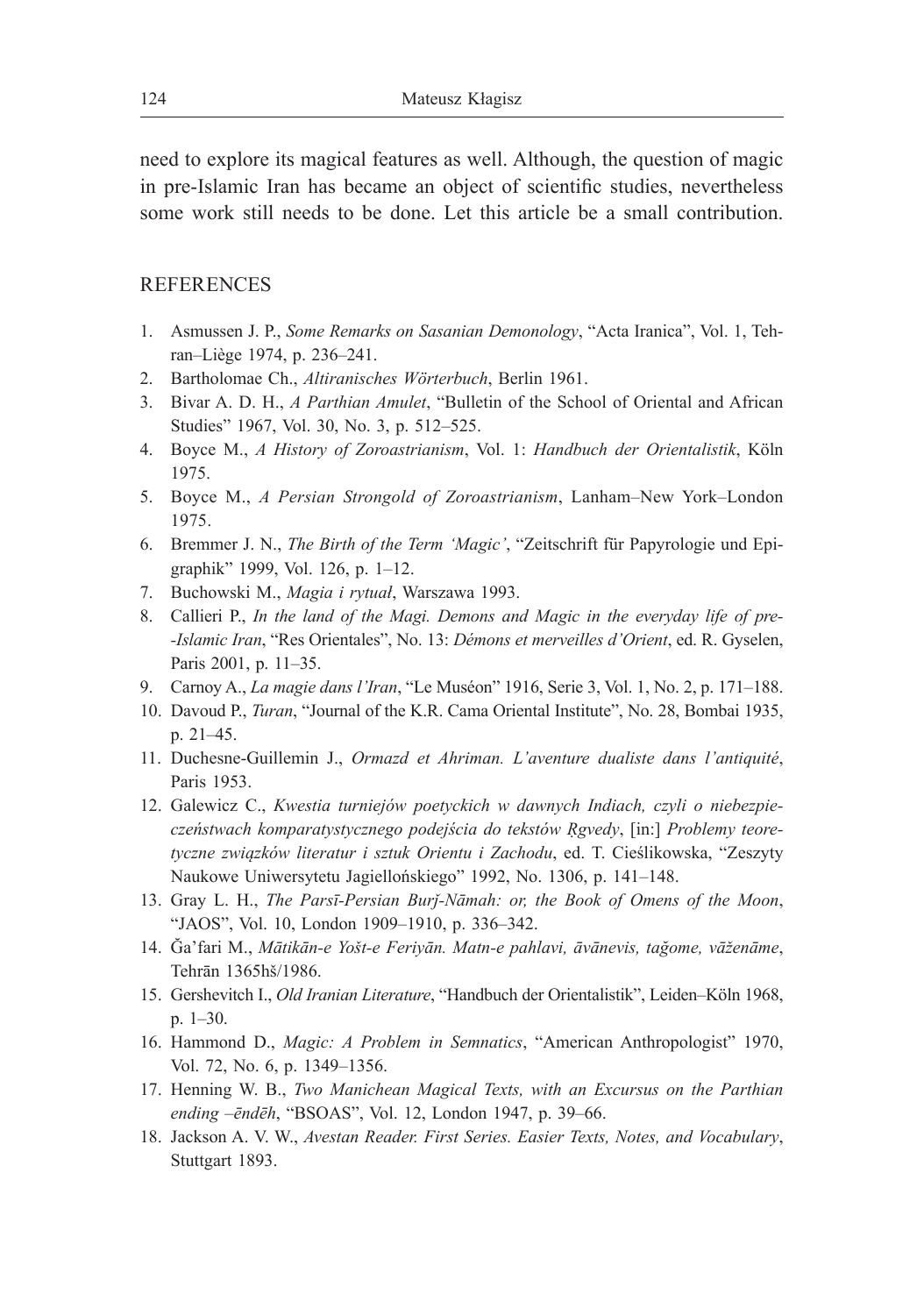need to explore its magical features as well. Although, the question of magic in pre-Islamic Iran has became an object of scientific studies, nevertheless some work still needs to be done. Let this article be a small contribution.

# **REFERENCES**

- 1. Asmussen J. P., *Some Remarks on Sasanian Demonology*, "Acta Iranica", Vol. 1, Tehran–Liège 1974, p. 236–241.
- 2. Bartholomae Ch., *Altiranisches Wörterbuch*, Berlin 1961.
- 3. Bivar A. D. H., *A Parthian Amulet*, "Bulletin of the School of Oriental and African Studies" 1967, Vol. 30, No. 3, p. 512–525.
- 4. Boyce M., *A History of Zoroastrianism*, Vol. 1: *Handbuch der Orientalistik*, Köln 1975.
- 5. Boyce M., *A Persian Strongold of Zoroastrianism*, Lanham–New York–London 1975.
- 6. Bremmer J. N., *The Birth of the Term 'Magic'*, "Zeitschrift für Papyrologie und Epigraphik" 1999, Vol. 126, p. 1–12.
- 7. Buchowski M., *Magia i rytuał*, Warszawa 1993.
- 8. Callieri P., *In the land of the Magi. Demons and Magic in the everyday life of pre- -Islamic Iran*, "Res Orientales", No. 13: *Démons et merveilles d'Orient*, ed. R. Gyselen, Paris 2001, p. 11–35.
- 9. Carnoy A., *La magie dans l'Iran*, "Le Muséon" 1916, Serie 3, Vol. 1, No. 2, p. 171–188.
- 10. Davoud P., *Turan*, "Journal of the K.R. Cama Oriental Institute", No. 28, Bombai 1935, p. 21–45.
- 11. Duchesne-Guillemin J., *Ormazd et Ahriman. L'aventure dualiste dans l'antiquité*, Paris 1953.
- 12. Galewicz C., *Kwestia turniejów poetyckich w dawnych Indiach, czyli o niebezpieczeństwach komparatystycznego podejścia do tekstów Ṛgvedy*, [in:] *Problemy teoretyczne związków literatur i sztuk Orientu i Zachodu*, ed. T. Cieślikowska, "Zeszyty Naukowe Uniwersytetu Jagiellońskiego" 1992, No. 1306, p. 141–148.
- 13. Gray L. H., *The Parsī-Persian Burǰ-Nāmah: or, the Book of Omens of the Moon*, "JAOS", Vol. 10, London 1909–1910, p. 336–342.
- 14. Ğa'fari M., *Mātikān-e Yošt-e Feriyān. Matn-e pahlavi, āvānevis, tağome, vāženāme*, Tehrān 1365hš/1986.
- 15. Gershevitch I., *Old Iranian Literature*, "Handbuch der Orientalistik", Leiden–Köln 1968, p. 1–30.
- 16. Hammond D., *Magic: A Problem in Semnatics*, "American Anthropologist" 1970, Vol. 72, No. 6, p. 1349–1356.
- 17. Henning W. B., *Two Manichean Magical Texts, with an Excursus on the Parthian ending –ēndēh*, "BSOAS", Vol. 12, London 1947, p. 39–66.
- 18. Jackson A. V. W., *Avestan Reader. First Series. Easier Texts, Notes, and Vocabulary*, Stuttgart 1893.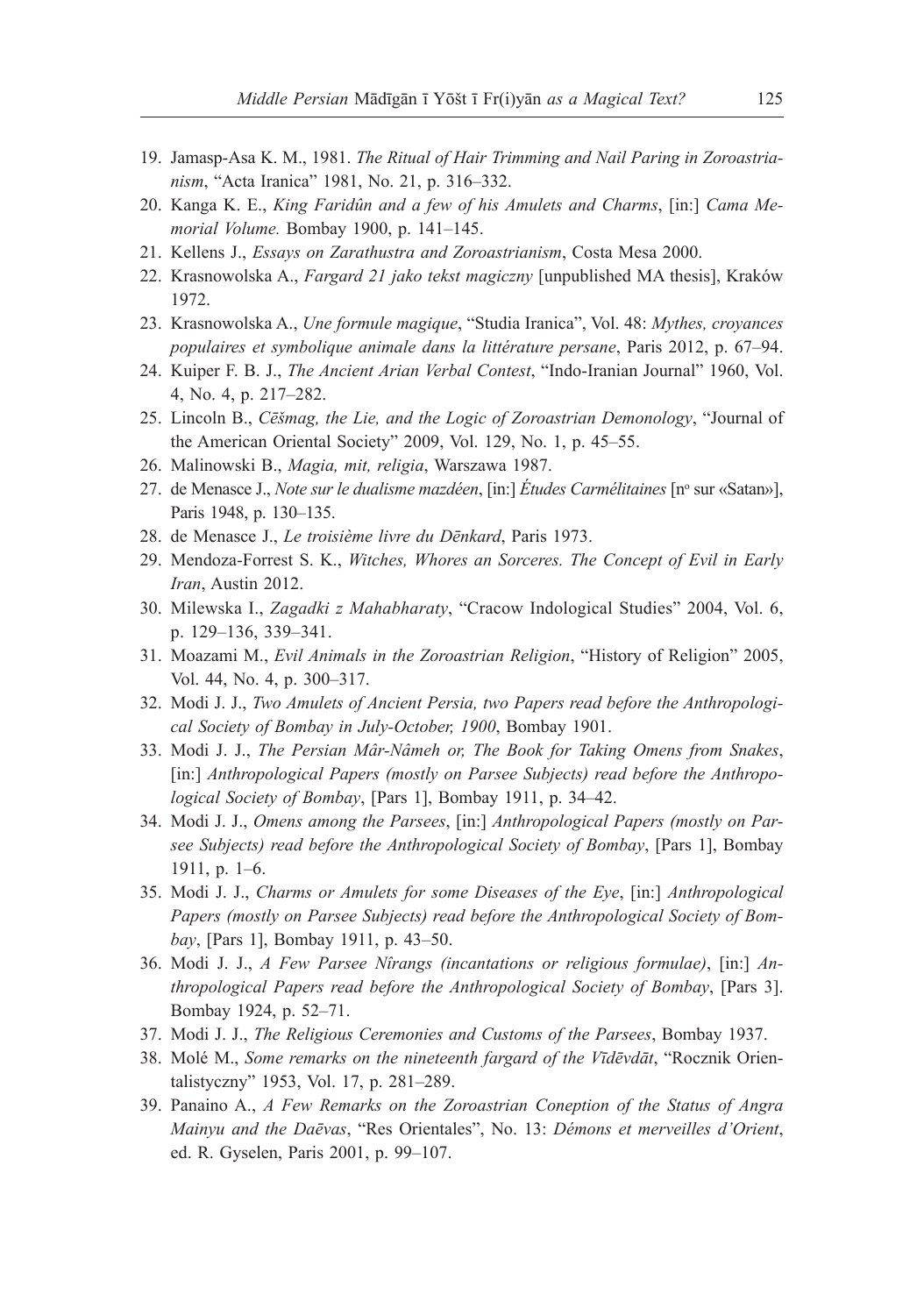- 19. Jamasp-Asa K. M., 1981. *The Ritual of Hair Trimming and Nail Paring in Zoroastrianism*, "Acta Iranica" 1981, No. 21, p. 316–332.
- 20. Kanga K. E., *King Faridûn and a few of his Amulets and Charms*, [in:] *Cama Memorial Volume.* Bombay 1900, p. 141–145.
- 21. Kellens J., *Essays on Zarathustra and Zoroastrianism*, Costa Mesa 2000.
- 22. Krasnowolska A., *Fargard 21 jako tekst magiczny* [unpublished MA thesis], Kraków 1972.
- 23. Krasnowolska A., *Une formule magique*, "Studia Iranica", Vol. 48: *Mythes, croyances populaires et symbolique animale dans la littérature persane*, Paris 2012, p. 67–94.
- 24. Kuiper F. B. J., *The Ancient Arian Verbal Contest*, "Indo-Iranian Journal" 1960, Vol. 4, No. 4, p. 217–282.
- 25. Lincoln B., *Cēšmag, the Lie, and the Logic of Zoroastrian Demonology*, "Journal of the American Oriental Society" 2009, Vol. 129, No. 1, p. 45–55.
- 26. Malinowski B., *Magia, mit, religia*, Warszawa 1987.
- 27. de Menasce J., *Note sur le dualisme mazdéen*, [in:] *Études Carmélitaines* [n° sur «Satan»], Paris 1948, p. 130–135.
- 28. de Menasce J., *Le troisième livre du Dēnkard*, Paris 1973.
- 29. Mendoza-Forrest S. K., *Witches, Whores an Sorceres. The Concept of Evil in Early Iran*, Austin 2012.
- 30. Milewska I., *Zagadki z Mahabharaty*, "Cracow Indological Studies" 2004, Vol. 6, p. 129–136, 339–341.
- 31. Moazami M., *Evil Animals in the Zoroastrian Religion*, "History of Religion" 2005, Vol. 44, No. 4, p. 300–317.
- 32. Modi J. J., *Two Amulets of Ancient Persia, two Papers read before the Anthropological Society of Bombay in July-October, 1900*, Bombay 1901.
- 33. Modi J. J., *The Persian Mâr-Nâmeh or, The Book for Taking Omens from Snakes*, [in:] *Anthropological Papers (mostly on Parsee Subjects) read before the Anthropological Society of Bombay*, [Pars 1], Bombay 1911, p. 34–42.
- 34. Modi J. J., *Omens among the Parsees*, [in:] *Anthropological Papers (mostly on Parsee Subjects) read before the Anthropological Society of Bombay*, [Pars 1], Bombay 1911, p. 1–6.
- 35. Modi J. J., *Charms or Amulets for some Diseases of the Eye*, [in:] *Anthropological Papers (mostly on Parsee Subjects) read before the Anthropological Society of Bombay*, [Pars 1], Bombay 1911, p. 43–50.
- 36. Modi J. J., *A Few Parsee Nîrangs (incantations or religious formulae)*, [in:] *Anthropological Papers read before the Anthropological Society of Bombay*, [Pars 3]. Bombay 1924, p. 52–71.
- 37. Modi J. J., *The Religious Ceremonies and Customs of the Parsees*, Bombay 1937.
- 38. Molé M., *Some remarks on the nineteenth fargard of the Vīdēvdāt*, "Rocznik Orientalistyczny" 1953, Vol. 17, p. 281–289.
- 39. Panaino A., *A Few Remarks on the Zoroastrian Coneption of the Status of Angra Mainyu and the Daēvas*, "Res Orientales", No. 13: *Démons et merveilles d'Orient*, ed. R. Gyselen, Paris 2001, p. 99–107.